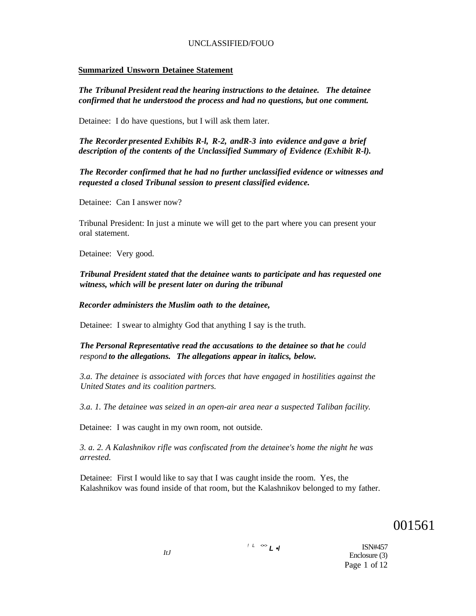#### **Summarized Unsworn Detainee Statement**

*The Tribunal President read the hearing instructions to the detainee. The detainee confirmed that he understood the process and had no questions, but one comment.* 

Detainee: I do have questions, but I will ask them later.

*The Recorder presented Exhibits R-l, R-2, andR-3 into evidence and gave a brief description of the contents of the Unclassified Summary of Evidence (Exhibit R-l).* 

*The Recorder confirmed that he had no further unclassified evidence or witnesses and requested a closed Tribunal session to present classified evidence.* 

Detainee: Can I answer now?

Tribunal President: In just a minute we will get to the part where you can present your oral statement.

Detainee: Very good.

*Tribunal President stated that the detainee wants to participate and has requested one witness, which will be present later on during the tribunal* 

*Recorder administers the Muslim oath to the detainee,* 

Detainee: I swear to almighty God that anything I say is the truth.

*The Personal Representative read the accusations to the detainee so that he could respond to the allegations. The allegations appear in italics, below.* 

*3.a. The detainee is associated with forces that have engaged in hostilities against the United States and its coalition partners.* 

*3.a. 1. The detainee was seized in an open-air area near a suspected Taliban facility.* 

Detainee: I was caught in my own room, not outside.

*3. a. 2. A Kalashnikov rifle was confiscated from the detainee's home the night he was arrested.* 

Detainee: First I would like to say that I was caught inside the room. Yes, the Kalashnikov was found inside of that room, but the Kalashnikov belonged to my father.

001561

*ItJ* 

! L <•> **L •/**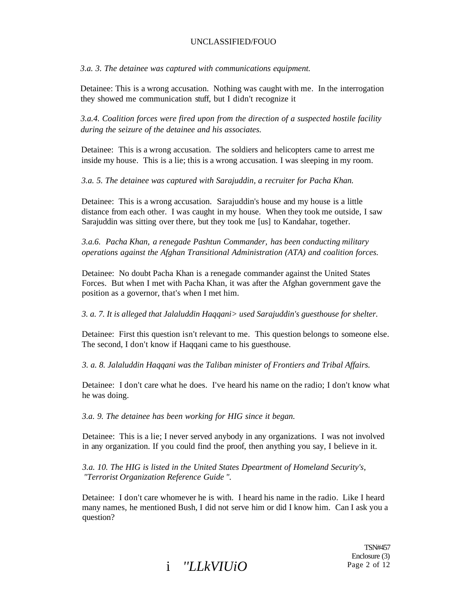*3.a. 3. The detainee was captured with communications equipment.* 

Detainee: This is a wrong accusation. Nothing was caught with me. In the interrogation they showed me communication stuff, but I didn't recognize it

*3.a.4. Coalition forces were fired upon from the direction of a suspected hostile facility during the seizure of the detainee and his associates.* 

Detainee: This is a wrong accusation. The soldiers and helicopters came to arrest me inside my house. This is a lie; this is a wrong accusation. I was sleeping in my room.

*3.a. 5. The detainee was captured with Sarajuddin, a recruiter for Pacha Khan.* 

Detainee: This is a wrong accusation. Sarajuddin's house and my house is a little distance from each other. I was caught in my house. When they took me outside, I saw Sarajuddin was sitting over there, but they took me [us] to Kandahar, together.

*3.a.6. Pacha Khan, a renegade Pashtun Commander, has been conducting military operations against the Afghan Transitional Administration (ATA) and coalition forces.* 

Detainee: No doubt Pacha Khan is a renegade commander against the United States Forces. But when I met with Pacha Khan, it was after the Afghan government gave the position as a governor, that's when I met him.

#### *3. a. 7. It is alleged that Jalaluddin Haqqani> used Sarajuddin's guesthouse for shelter.*

Detainee: First this question isn't relevant to me. This question belongs to someone else. The second, I don't know if Haqqani came to his guesthouse.

*3. a. 8. Jalaluddin Haqqani was the Taliban minister of Frontiers and Tribal Affairs.* 

Detainee: I don't care what he does. I've heard his name on the radio; I don't know what he was doing.

*3.a. 9. The detainee has been working for HIG since it began.* 

Detainee: This is a lie; I never served anybody in any organizations. I was not involved in any organization. If you could find the proof, then anything you say, I believe in it.

*3.a. 10. The HIG is listed in the United States Dpeartment of Homeland Security's, "Terrorist Organization Reference Guide ".* 

Detainee: I don't care whomever he is with. I heard his name in the radio. Like I heard many names, he mentioned Bush, I did not serve him or did I know him. Can I ask you a question?

i *''LLkVIUiO* 

TSN#457 Enclosure (3) Page 2 of 12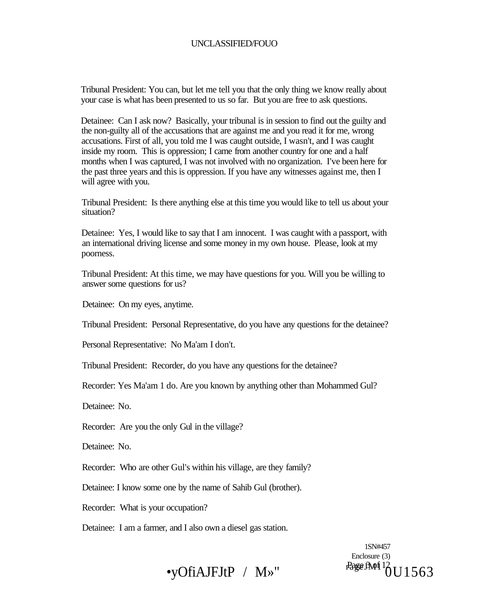Tribunal President: You can, but let me tell you that the only thing we know really about your case is what has been presented to us so far. But you are free to ask questions.

Detainee: Can I ask now? Basically, your tribunal is in session to find out the guilty and the non-guilty all of the accusations that are against me and you read it for me, wrong accusations. First of all, you told me I was caught outside, I wasn't, and I was caught inside my room. This is oppression; I came from another country for one and a half months when I was captured, I was not involved with no organization. I've been here for the past three years and this is oppression. If you have any witnesses against me, then I will agree with you.

Tribunal President: Is there anything else at this time you would like to tell us about your situation?

Detainee: Yes, I would like to say that I am innocent. I was caught with a passport, with an international driving license and some money in my own house. Please, look at my poorness.

Tribunal President: At this time, we may have questions for you. Will you be willing to answer some questions for us?

Detainee: On my eyes, anytime.

Tribunal President: Personal Representative, do you have any questions for the detainee?

Personal Representative: No Ma'am I don't.

Tribunal President: Recorder, do you have any questions for the detainee?

Recorder: Yes Ma'am 1 do. Are you known by anything other than Mohammed Gul?

Detainee: No.

Recorder: Are you the only Gul in the village?

Detainee: No.

Recorder: Who are other Gul's within his village, are they family?

Detainee: I know some one by the name of Sahib Gul (brother).

Recorder: What is your occupation?

Detainee: I am a farmer, and I also own a diesel gas station.

1SN#457 Enclosure (3)  $r_{\text{age}}$  JMp1  $^{12}_{0}$  U 1 5 6 3

# •yOfiAJFJtP / M»"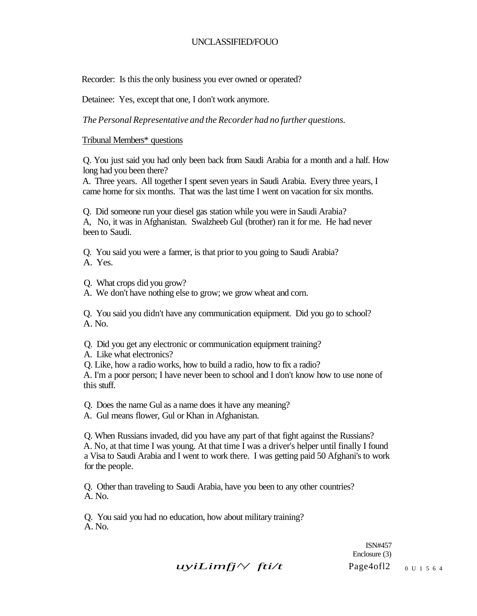Recorder: Is this the only business you ever owned or operated?

Detainee: Yes, except that one, I don't work anymore.

*The Personal Representative and the Recorder had no further questions.* 

Tribunal Members\* questions

Q. You just said you had only been back from Saudi Arabia for a month and a half. How long had you been there?

A. Three years. All together I spent seven years in Saudi Arabia. Every three years, I came home for six months. That was the last time I went on vacation for six months.

Q. Did someone run your diesel gas station while you were in Saudi Arabia? A, No, it was in Afghanistan. Swalzheeb Gul (brother) ran it for me. He had never been to Saudi.

Q. You said you were a farmer, is that prior to you going to Saudi Arabia? A. Yes.

Q. What crops did you grow?

A. We don't have nothing else to grow; we grow wheat and corn.

Q. You said you didn't have any communication equipment. Did you go to school? A. No.

Q. Did you get any electronic or communication equipment training?

A. Like what electronics?

Q. Like, how a radio works, how to build a radio, how to fix a radio?

A. I'm a poor person; I have never been to school and I don't know how to use none of this stuff.

Q. Does the name Gul as a name does it have any meaning?

A. Gul means flower, Gul or Khan in Afghanistan.

Q. When Russians invaded, did you have any part of that fight against the Russians? A. No, at that time I was young. At that time I was a driver's helper until finally I found a Visa to Saudi Arabia and I went to work there. I was getting paid 50 Afghani's to work for the people.

Q. Other than traveling to Saudi Arabia, have you been to any other countries? A. No.

Q. You said you had no education, how about military training? A. No.

> ISN#457 Enclosure (3) *uyiLimfj*<sup> $\gamma$ </sup> *fti/t* Page4ofl2 0U1564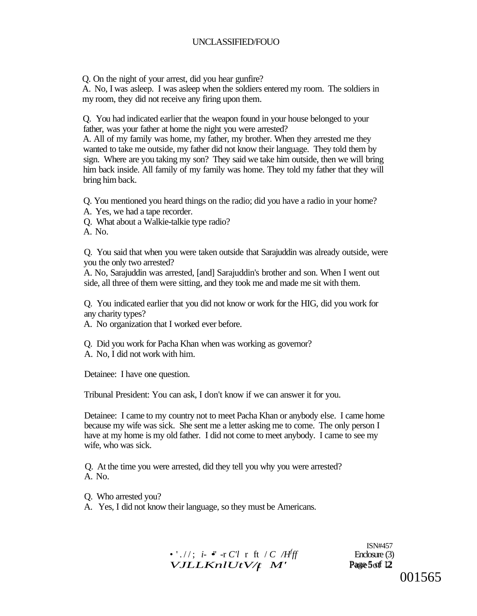Q. On the night of your arrest, did you hear gunfire?

A. No, I was asleep. I was asleep when the soldiers entered my room. The soldiers in my room, they did not receive any firing upon them.

Q. You had indicated earlier that the weapon found in your house belonged to your father, was your father at home the night you were arrested?

A. All of my family was home, my father, my brother. When they arrested me they wanted to take me outside, my father did not know their language. They told them by sign. Where are you taking my son? They said we take him outside, then we will bring him back inside. All family of my family was home. They told my father that they will bring him back.

Q. You mentioned you heard things on the radio; did you have a radio in your home?

A. Yes, we had a tape recorder.

Q. What about a Walkie-talkie type radio?

A. No.

Q. You said that when you were taken outside that Sarajuddin was already outside, were you the only two arrested?

A. No, Sarajuddin was arrested, [and] Sarajuddin's brother and son. When I went out side, all three of them were sitting, and they took me and made me sit with them.

Q. You indicated earlier that you did not know or work for the HIG, did you work for any charity types?

A. No organization that I worked ever before.

Q. Did you work for Pacha Khan when was working as governor?

A. No, I did not work with him.

Detainee: I have one question.

Tribunal President: You can ask, I don't know if we can answer it for you.

Detainee: I came to my country not to meet Pacha Khan or anybody else. I came home because my wife was sick. She sent me a letter asking me to come. The only person I have at my home is my old father. I did not come to meet anybody. I came to see my wife, who was sick.

Q. At the time you were arrested, did they tell you why you were arrested? A. No.

Q. Who arrested you?

A. Yes, I did not know their language, so they must be Americans.



ISN#457 *ff* Enclosure (3) 001565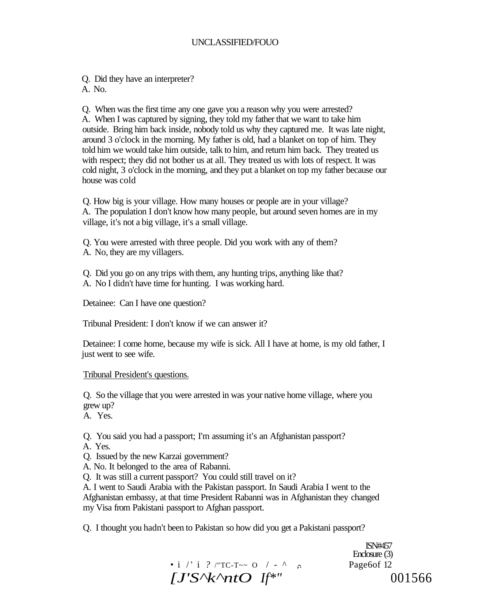Q. Did they have an interpreter? A. No.

Q. When was the first time any one gave you a reason why you were arrested? A. When I was captured by signing, they told my father that we want to take him outside. Bring him back inside, nobody told us why they captured me. It was late night, around 3 o'clock in the morning. My father is old, had a blanket on top of him. They told him we would take him outside, talk to him, and return him back. They treated us with respect; they did not bother us at all. They treated us with lots of respect. It was cold night, 3 o'clock in the morning, and they put a blanket on top my father because our house was cold

Q. How big is your village. How many houses or people are in your village? A. The population I don't know how many people, but around seven homes are in my village, it's not a big village, it's a small village.

Q. You were arrested with three people. Did you work with any of them? A. No, they are my villagers.

Q. Did you go on any trips with them, any hunting trips, anything like that? A. No I didn't have time for hunting. I was working hard.

Detainee: Can I have one question?

Tribunal President: I don't know if we can answer it?

Detainee: I come home, because my wife is sick. All I have at home, is my old father, I just went to see wife.

#### Tribunal President's questions.

Q. So the village that you were arrested in was your native home village, where you grew up?

A. Yes.

Q. You said you had a passport; I'm assuming it's an Afghanistan passport?

A. Yes.

Q. Issued by the new Karzai government?

A. No. It belonged to the area of Rabanni.

Q. It was still a current passport? You could still travel on it?

A. I went to Saudi Arabia with the Pakistan passport. In Saudi Arabia I went to the Afghanistan embassy, at that time President Rabanni was in Afghanistan they changed my Visa from Pakistani passport to Afghan passport.

Q. I thought you hadn't been to Pakistan so how did you get a Pakistani passport?

• i /' i ? /"TC-T~~ 0  $/ -$  ^  $\tau$ . Page6of 12  $IJ'S^{\wedge}k^{\wedge}ntO$   $If^{*}$ " 001566

ISN#457 Enclosure (3)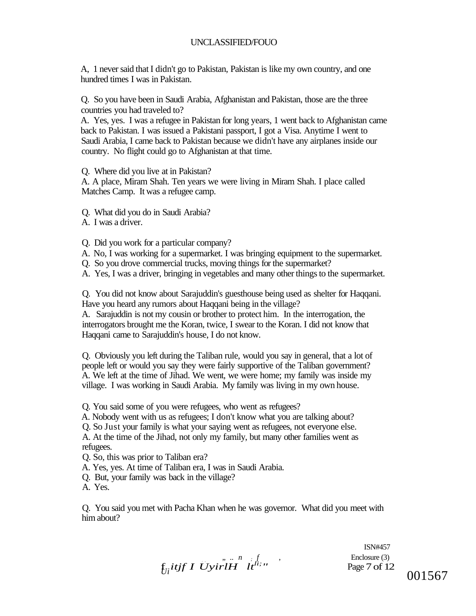A, 1 never said that I didn't go to Pakistan, Pakistan is like my own country, and one hundred times I was in Pakistan.

Q. So you have been in Saudi Arabia, Afghanistan and Pakistan, those are the three countries you had traveled to?

A. Yes, yes. I was a refugee in Pakistan for long years, 1 went back to Afghanistan came back to Pakistan. I was issued a Pakistani passport, I got a Visa. Anytime I went to Saudi Arabia, I came back to Pakistan because we didn't have any airplanes inside our country. No flight could go to Afghanistan at that time.

Q. Where did you live at in Pakistan?

A. A place, Miram Shah. Ten years we were living in Miram Shah. I place called Matches Camp. It was a refugee camp.

- Q. What did you do in Saudi Arabia?
- A. I was a driver.

Q. Did you work for a particular company?

- A. No, I was working for a supermarket. I was bringing equipment to the supermarket.
- Q. So you drove commercial trucks, moving things for the supermarket?

A. Yes, I was a driver, bringing in vegetables and many other things to the supermarket.

Q. You did not know about Sarajuddin's guesthouse being used as shelter for Haqqani. Have you heard any rumors about Haqqani being in the village?

A. Sarajuddin is not my cousin or brother to protect him. In the interrogation, the interrogators brought me the Koran, twice, I swear to the Koran. I did not know that Haqqani came to Sarajuddin's house, I do not know.

Q. Obviously you left during the Taliban rule, would you say in general, that a lot of people left or would you say they were fairly supportive of the Taliban government? A. We left at the time of Jihad. We went, we were home; my family was inside my village. I was working in Saudi Arabia. My family was living in my own house.

Q. You said some of you were refugees, who went as refugees?

A. Nobody went with us as refugees; I don't know what you are talking about?

Q. So Just your family is what your saying went as refugees, not everyone else.

A. At the time of the Jihad, not only my family, but many other families went as refugees.

Q. So, this was prior to Taliban era?

A. Yes, yes. At time of Taliban era, I was in Saudi Arabia.

Q. But, your family was back in the village?

A. Yes.

Q. You said you met with Pacha Khan when he was governor. What did you meet with him about?

*f*<sub>*i*</sub>*itjf I UyirlH lt<sup>li;</sup>*<sup>*n*</sup> f Enclosure (3)<br>Page 7 of 12  $001567$ 

ISN#457 Enclosure (3)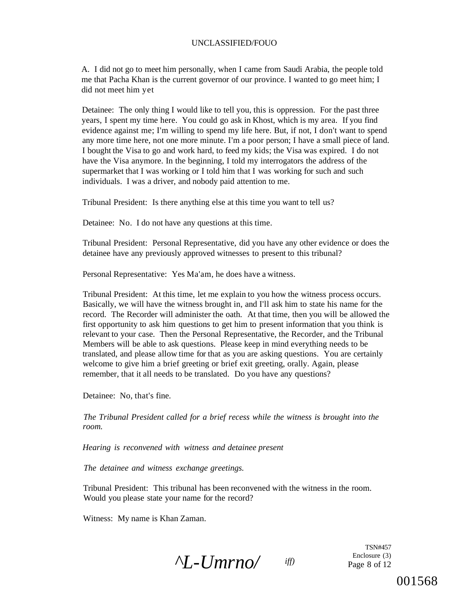A. I did not go to meet him personally, when I came from Saudi Arabia, the people told me that Pacha Khan is the current governor of our province. I wanted to go meet him; I did not meet him yet

Detainee: The only thing I would like to tell you, this is oppression. For the past three years, I spent my time here. You could go ask in Khost, which is my area. If you find evidence against me; I'm willing to spend my life here. But, if not, I don't want to spend any more time here, not one more minute. I'm a poor person; I have a small piece of land. I bought the Visa to go and work hard, to feed my kids; the Visa was expired. I do not have the Visa anymore. In the beginning, I told my interrogators the address of the supermarket that I was working or I told him that I was working for such and such individuals. I was a driver, and nobody paid attention to me.

Tribunal President: Is there anything else at this time you want to tell us?

Detainee: No. I do not have any questions at this time.

Tribunal President: Personal Representative, did you have any other evidence or does the detainee have any previously approved witnesses to present to this tribunal?

Personal Representative: Yes Ma'am, he does have a witness.

Tribunal President: At this time, let me explain to you how the witness process occurs. Basically, we will have the witness brought in, and I'll ask him to state his name for the record. The Recorder will administer the oath. At that time, then you will be allowed the first opportunity to ask him questions to get him to present information that you think is relevant to your case. Then the Personal Representative, the Recorder, and the Tribunal Members will be able to ask questions. Please keep in mind everything needs to be translated, and please allow time for that as you are asking questions. You are certainly welcome to give him a brief greeting or brief exit greeting, orally. Again, please remember, that it all needs to be translated. Do you have any questions?

Detainee: No, that's fine.

*The Tribunal President called for a brief recess while the witness is brought into the room.* 

*Hearing is reconvened with witness and detainee present* 

*The detainee and witness exchange greetings.* 

Tribunal President: This tribunal has been reconvened with the witness in the room. Would you please state your name for the record?

Witness: My name is Khan Zaman.

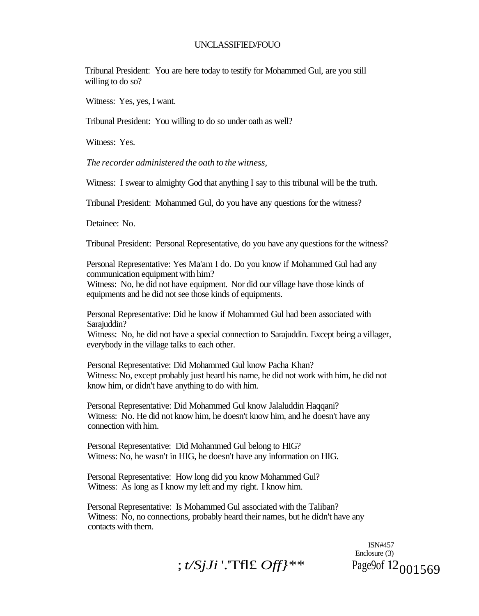Tribunal President: You are here today to testify for Mohammed Gul, are you still willing to do so?

Witness: Yes, yes, I want.

Tribunal President: You willing to do so under oath as well?

Witness: Yes.

*The recorder administered the oath to the witness,* 

Witness: I swear to almighty God that anything I say to this tribunal will be the truth.

Tribunal President: Mohammed Gul, do you have any questions for the witness?

Detainee: No.

Tribunal President: Personal Representative, do you have any questions for the witness?

Personal Representative: Yes Ma'am I do. Do you know if Mohammed Gul had any communication equipment with him?

Witness: No, he did not have equipment. Nor did our village have those kinds of equipments and he did not see those kinds of equipments.

Personal Representative: Did he know if Mohammed Gul had been associated with Sarajuddin?

Witness: No, he did not have a special connection to Sarajuddin. Except being a villager, everybody in the village talks to each other.

Personal Representative: Did Mohammed Gul know Pacha Khan? Witness: No, except probably just heard his name, he did not work with him, he did not know him, or didn't have anything to do with him.

Personal Representative: Did Mohammed Gul know Jalaluddin Haqqani? Witness: No. He did not know him, he doesn't know him, and he doesn't have any connection with him.

Personal Representative: Did Mohammed Gul belong to HIG? Witness: No, he wasn't in HIG, he doesn't have any information on HIG.

Personal Representative: How long did you know Mohammed Gul? Witness: As long as I know my left and my right. I know him.

Personal Representative: Is Mohammed Gul associated with the Taliban? Witness: No, no connections, probably heard their names, but he didn't have any contacts with them.

> ISN#457 Enclosure (3)

; *t/SjJi* '.'Tfl£ *Off}*\*\* Page9of 12<sub>001569</sub>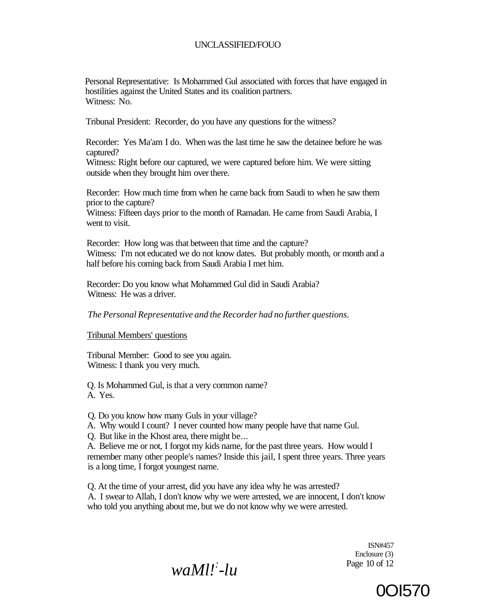Personal Representative: Is Mohammed Gul associated with forces that have engaged in hostilities against the United States and its coalition partners. Witness: No.

Tribunal President: Recorder, do you have any questions for the witness?

Recorder: Yes Ma'am I do. When was the last time he saw the detainee before he was captured?

Witness: Right before our captured, we were captured before him. We were sitting outside when they brought him over there.

Recorder: How much time from when he came back from Saudi to when he saw them prior to the capture?

Witness: Fifteen days prior to the month of Ramadan. He came from Saudi Arabia, I went to visit.

Recorder: How long was that between that time and the capture? Witness: I'm not educated we do not know dates. But probably month, or month and a half before his coming back from Saudi Arabia I met him.

Recorder: Do you know what Mohammed Gul did in Saudi Arabia? Witness: He was a driver.

*The Personal Representative and the Recorder had no further questions.* 

Tribunal Members' questions

Tribunal Member: Good to see you again. Witness: I thank you very much.

Q. Is Mohammed Gul, is that a very common name? A. Yes.

Q. Do you know how many Guls in your village?

A. Why would I count? I never counted how many people have that name Gul.

Q. But like in the Khost area, there might be...

A. Believe me or not, I forgot my kids name, for the past three years. How would I remember many other people's names? Inside this jail, I spent three years. Three years is a long time, I forgot youngest name.

Q. At the time of your arrest, did you have any idea why he was arrested? A. I swear to Allah, I don't know why we were arrested, we are innocent, I don't know who told you anything about me, but we do not know why we were arrested.

> ISN#457 Enclosure (3) Page 10 of 12



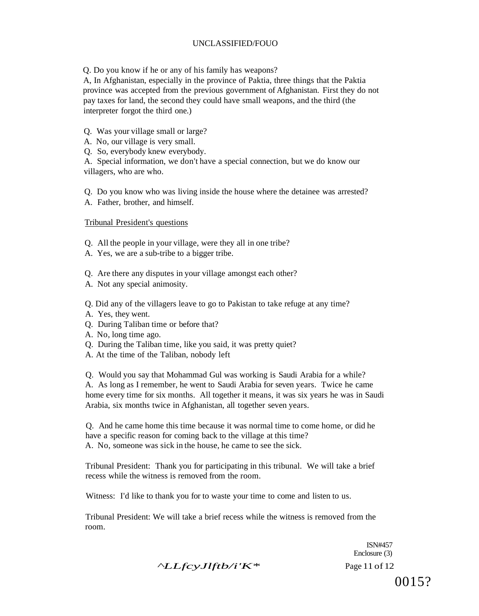Q. Do you know if he or any of his family has weapons?

A, In Afghanistan, especially in the province of Paktia, three things that the Paktia province was accepted from the previous government of Afghanistan. First they do not pay taxes for land, the second they could have small weapons, and the third (the interpreter forgot the third one.)

- Q. Was your village small or large?
- A. No, our village is very small.
- Q. So, everybody knew everybody.

A. Special information, we don't have a special connection, but we do know our villagers, who are who.

Q. Do you know who was living inside the house where the detainee was arrested?

A. Father, brother, and himself.

Tribunal President's questions

- Q. All the people in your village, were they all in one tribe?
- A. Yes, we are a sub-tribe to a bigger tribe.
- Q. Are there any disputes in your village amongst each other?
- A. Not any special animosity.
- Q. Did any of the villagers leave to go to Pakistan to take refuge at any time?
- A. Yes, they went.
- Q. During Taliban time or before that?
- A. No, long time ago.
- Q. During the Taliban time, like you said, it was pretty quiet?
- A. At the time of the Taliban, nobody left

Q. Would you say that Mohammad Gul was working is Saudi Arabia for a while? A. As long as I remember, he went to Saudi Arabia for seven years. Twice he came home every time for six months. All together it means, it was six years he was in Saudi Arabia, six months twice in Afghanistan, all together seven years.

Q. And he came home this time because it was normal time to come home, or did he have a specific reason for coming back to the village at this time? A. No, someone was sick in the house, he came to see the sick.

Tribunal President: Thank you for participating in this tribunal. We will take a brief recess while the witness is removed from the room.

Witness: I'd like to thank you for to waste your time to come and listen to us.

Tribunal President: We will take a brief recess while the witness is removed from the room.

> ISN#457 Enclosure (3)

*^LLfcyJlftb/i'K\** Page 11 of 12

0015?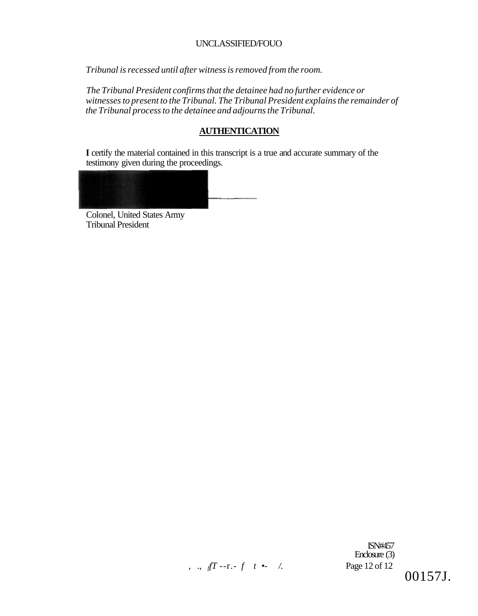*Tribunal is recessed until after witness is removed from the room.* 

*The Tribunal President confirms that the detainee had no further evidence or witnesses to present to the Tribunal. The Tribunal President explains the remainder of the Tribunal process to the detainee and adjourns the Tribunal.* 

# **AUTHENTICATION**

**I** certify the material contained in this transcript is a true and accurate summary of the testimony given during the proceedings.

Colonel, United States Army Tribunal President

, ., *<sup>f</sup> fT* --r.- *f t •- /.* Page 12 of 12

ISN#457 Enclosure (3)

00157J.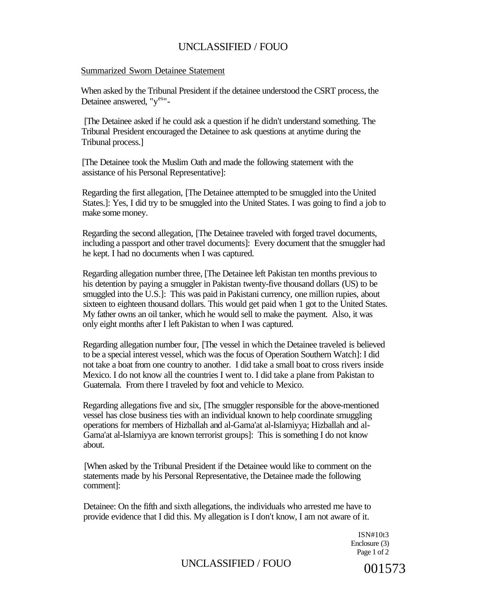#### Summarized Sworn Detainee Statement

When asked by the Tribunal President if the detainee understood the CSRT process, the Detainee answered, "yes"-

[The Detainee asked if he could ask a question if he didn't understand something. The Tribunal President encouraged the Detainee to ask questions at anytime during the Tribunal process.]

[The Detainee took the Muslim Oath and made the following statement with the assistance of his Personal Representative]:

Regarding the first allegation, [The Detainee attempted to be smuggled into the United States.]: Yes, I did try to be smuggled into the United States. I was going to find a job to make some money.

Regarding the second allegation, [The Detainee traveled with forged travel documents, including a passport and other travel documents]: Every document that the smuggler had he kept. I had no documents when I was captured.

Regarding allegation number three, [The Detainee left Pakistan ten months previous to his detention by paying a smuggler in Pakistan twenty-five thousand dollars (US) to be smuggled into the U.S.]: This was paid in Pakistani currency, one million rupies, about sixteen to eighteen thousand dollars. This would get paid when 1 got to the United States. My father owns an oil tanker, which he would sell to make the payment. Also, it was only eight months after I left Pakistan to when I was captured.

Regarding allegation number four, [The vessel in which the Detainee traveled is believed to be a special interest vessel, which was the focus of Operation Southern Watch]: I did not take a boat from one country to another. I did take a small boat to cross rivers inside Mexico. I do not know all the countries I went to. I did take a plane from Pakistan to Guatemala. From there I traveled by foot and vehicle to Mexico.

Regarding allegations five and six, [The smuggler responsible for the above-mentioned vessel has close business ties with an individual known to help coordinate smuggling operations for members of Hizballah and al-Gama'at al-Islamiyya; Hizballah and al-Gama'at al-Islamiyya are known terrorist groups]: This is something I do not know about.

[When asked by the Tribunal President if the Detainee would like to comment on the statements made by his Personal Representative, the Detainee made the following comment]:

Detainee: On the fifth and sixth allegations, the individuals who arrested me have to provide evidence that I did this. My allegation is I don't know, I am not aware of it.

> ISN#10t3 Enclosure (3) Page 1 of 2

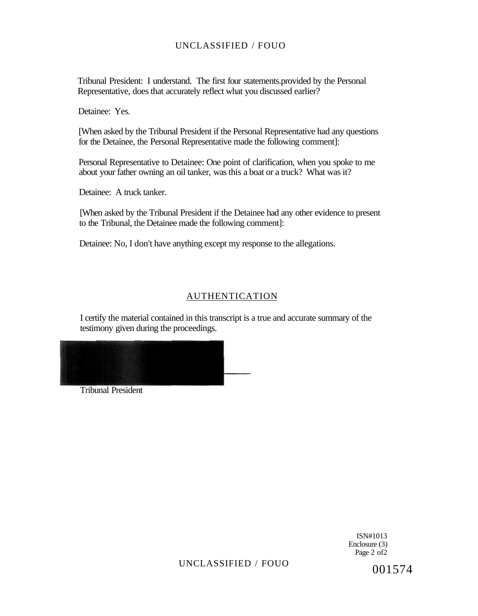Tribunal President: I understand. The first four statements.provided by the Personal Representative, does that accurately reflect what you discussed earlier?

Detainee: Yes.

[When asked by the Tribunal President if the Personal Representative had any questions for the Detainee, the Personal Representative made the following comment]:

Personal Representative to Detainee: One point of clarification, when you spoke to me about your father owning an oil tanker, was this a boat or a truck? What was it?

Detainee: A truck tanker.

[When asked by the Tribunal President if the Detainee had any other evidence to present to the Tribunal, the Detainee made the following comment]:

Detainee: No, I don't have anything except my response to the allegations.

# AUTHENTICATION

I certify the material contained in this transcript is a true and accurate summary of the testimony given during the proceedings.



Tribunal President

ISN#1013 Enclosure (3) Page 2 of 2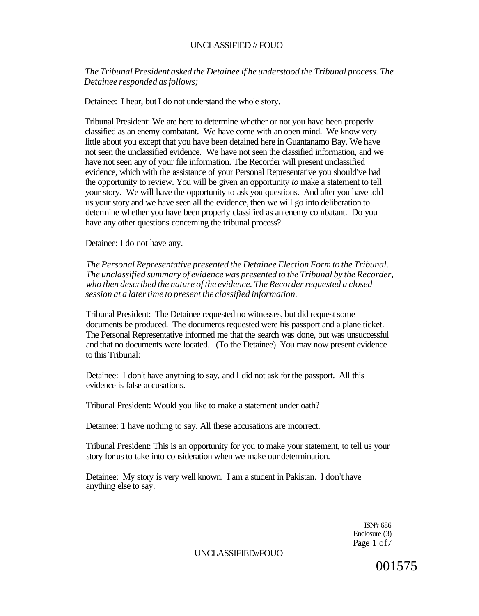*The Tribunal President asked the Detainee if he understood the Tribunal process. The Detainee responded as follows;* 

Detainee: I hear, but I do not understand the whole story.

Tribunal President: We are here to determine whether or not you have been properly classified as an enemy combatant. We have come with an open mind. We know very little about you except that you have been detained here in Guantanamo Bay. We have not seen the unclassified evidence. We have not seen the classified information, and we have not seen any of your file information. The Recorder will present unclassified evidence, which with the assistance of your Personal Representative you should've had the opportunity to review. You will be given an opportunity *to* make a statement to tell your story. We will have the opportunity to ask you questions. And after you have told us your story and we have seen all the evidence, then we will go into deliberation to determine whether you have been properly classified as an enemy combatant. Do you have any other questions concerning the tribunal process?

Detainee: I do not have any.

*The Personal Representative presented the Detainee Election Form to the Tribunal. The unclassified summary of evidence was presented to the Tribunal by the Recorder, who then described the nature of the evidence. The Recorder requested a closed session at a later time to present the classified information.* 

Tribunal President: The Detainee requested no witnesses, but did request some documents be produced. The documents requested were his passport and a plane ticket. The Personal Representative informed me that the search was done, but was unsuccessful and that no documents were located. (To the Detainee) You may now present evidence to this Tribunal:

Detainee: I don't have anything to say, and I did not ask for the passport. All this evidence is false accusations.

Tribunal President: Would you like to make a statement under oath?

Detainee: 1 have nothing to say. All these accusations are incorrect.

Tribunal President: This is an opportunity for you to make your statement, to tell us your story for us to take into consideration when we make our determination.

Detainee: My story is very well known. I am a student in Pakistan. I don't have anything else to say.

> ISN# 686 Enclosure (3) Page 1 of7

UNCLASSIFIED//FOUO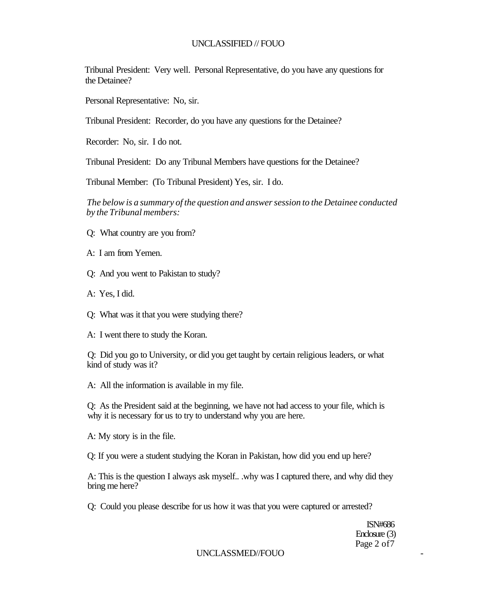Tribunal President: Very well. Personal Representative, do you have any questions for the Detainee?

Personal Representative: No, sir.

Tribunal President: Recorder, do you have any questions for the Detainee?

Recorder: No, sir. I do not.

Tribunal President: Do any Tribunal Members have questions for the Detainee?

Tribunal Member: (To Tribunal President) Yes, sir. I do.

*The below is a summary of the question and answer session to the Detainee conducted by the Tribunal members:* 

- Q: What country are you from?
- A: I am from Yemen.
- Q: And you went to Pakistan to study?
- A: Yes, I did.
- Q: What was it that you were studying there?
- A: I went there to study the Koran.

Q: Did you go to University, or did you get taught by certain religious leaders, or what kind of study was it?

A: All the information is available in my file.

Q: As the President said at the beginning, we have not had access to your file, which is why it is necessary for us to try to understand why you are here.

A: My story is in the file.

Q: If you were a student studying the Koran in Pakistan, how did you end up here?

A: This is the question I always ask myself.. .why was I captured there, and why did they bring me here?

Q: Could you please describe for us how it was that you were captured or arrested?

ISN#686 Enclosure (3) Page 2 of7

#### UNCLASSMED//FOUO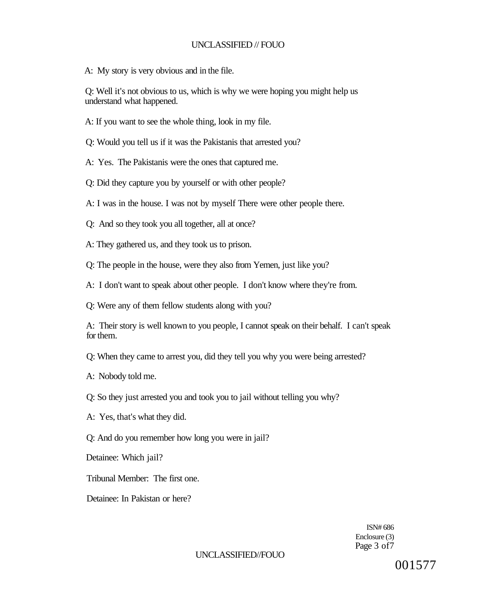A: My story is very obvious and in the file.

Q: Well it's not obvious to us, which is why we were hoping you might help us understand what happened.

A: If you want to see the whole thing, look in my file.

Q: Would you tell us if it was the Pakistanis that arrested you?

A: Yes. The Pakistanis were the ones that captured me.

Q: Did they capture you by yourself or with other people?

A: I was in the house. I was not by myself There were other people there.

Q: And so they took you all together, all at once?

A: They gathered us, and they took us to prison.

Q: The people in the house, were they also from Yemen, just like you?

A: I don't want to speak about other people. I don't know where they're from.

Q: Were any of them fellow students along with you?

A: Their story is well known to you people, I cannot speak on their behalf. I can't speak for them.

Q: When they came to arrest you, did they tell you why you were being arrested?

A: Nobody told me.

Q: So they just arrested you and took you to jail without telling you why?

A: Yes, that's what they did.

Q: And do you remember how long you were in jail?

Detainee: Which jail?

Tribunal Member: The first one.

Detainee: In Pakistan or here?

ISN# 686 Enclosure (3) Page 3 of7

### UNCLASSIFIED//FOUO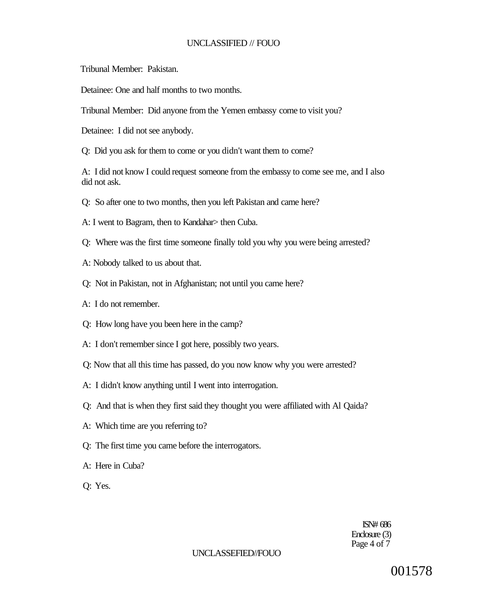Tribunal Member: Pakistan.

Detainee: One and half months to two months.

Tribunal Member: Did anyone from the Yemen embassy come to visit you?

Detainee: I did not see anybody.

Q: Did you ask for them to come or you didn't want them to come?

A: I did not know I could request someone from the embassy to come see me, and I also did not ask.

Q: So after one to two months, then you left Pakistan and came here?

A: I went to Bagram, then to Kandahar> then Cuba.

Q: Where was the first time someone finally told you why you were being arrested?

- A: Nobody talked to us about that.
- Q: Not in Pakistan, not in Afghanistan; not until you came here?
- A: I do not remember.
- Q: How long have you been here in the camp?
- A: I don't remember since I got here, possibly two years.
- Q: Now that all this time has passed, do you now know why you were arrested?
- A: I didn't know anything until I went into interrogation.
- Q: And that is when they first said they thought you were affiliated with Al Qaida?
- A: Which time are you referring to?
- Q: The first time you came before the interrogators.
- A: Here in Cuba?
- Q: Yes.

ISN# 686 Enclosure (3) Page 4 of 7

### UNCLASSEFIED//FOUO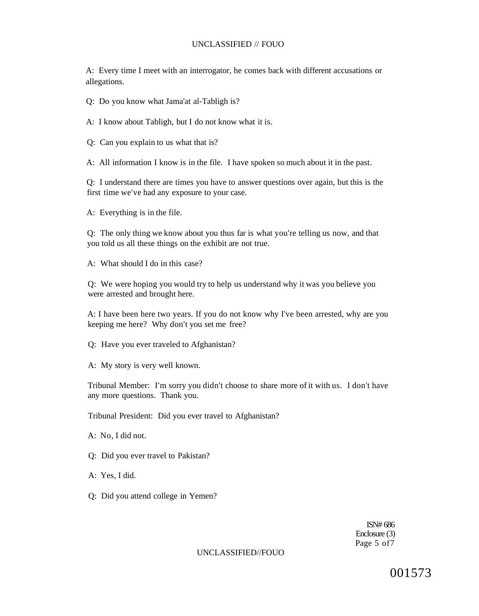A: Every time I meet with an interrogator, he comes back with different accusations or allegations.

Q: Do you know what Jama'at al-Tabligh is?

A: I know about Tabligh, but I do not know what it is.

Q: Can you explain to us what that is?

A: All information I know is in the file. I have spoken so much about it in the past.

Q: I understand there are times you have to answer questions over again, but this is the first time we've had any exposure to your case.

A: Everything is in the file.

Q: The only thing we know about you thus far is what you're telling us now, and that you told us all these things on the exhibit are not true.

A: What should I do in this case?

Q: We were hoping you would try to help us understand why it was you believe you were arrested and brought here.

A: I have been here two years. If you do not know why I've been arrested, why are you keeping me here? Why don't you set me free?

Q: Have you ever traveled to Afghanistan?

A: My story is very well known.

Tribunal Member: I'm sorry you didn't choose to share more of it with us. I don't have any more questions. Thank you.

Tribunal President: Did you ever travel to Afghanistan?

A: No, I did not.

Q: Did you ever travel to Pakistan?

A: Yes, I did.

Q: Did you attend college in Yemen?

ISN# 686 Enclosure (3) Page 5 of7

#### UNCLASSIFIED//FOUO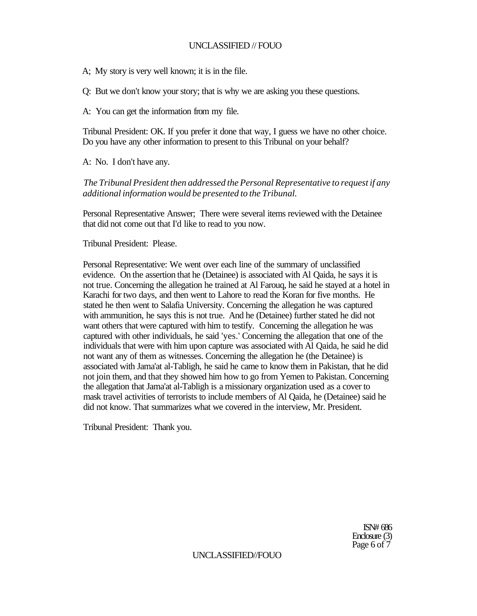A; My story is very well known; it is in the file.

Q: But we don't know your story; that is why we are asking you these questions.

A: You can get the information from my file.

Tribunal President: OK. If you prefer it done that way, I guess we have no other choice. Do you have any other information to present to this Tribunal on your behalf?

A: No. I don't have any.

*The Tribunal President then addressed the Personal Representative to request if any additional information would be presented to the Tribunal.* 

Personal Representative Answer; There were several items reviewed with the Detainee that did not come out that I'd like to read to you now.

Tribunal President: Please.

Personal Representative: We went over each line of the summary of unclassified evidence. On the assertion that he (Detainee) is associated with Al Qaida, he says it is not true. Concerning the allegation he trained at Al Farouq, he said he stayed at a hotel in Karachi for two days, and then went to Lahore to read the Koran for five months. He stated he then went to Salafia University. Concerning the allegation he was captured with ammunition, he says this is not true. And he (Detainee) further stated he did not want others that were captured with him to testify. Concerning the allegation he was captured with other individuals, he said 'yes.' Concerning the allegation that one of the individuals that were with him upon capture was associated with Al Qaida, he said he did not want any of them as witnesses. Concerning the allegation he (the Detainee) is associated with Jama'at al-Tabligh, he said he came to know them in Pakistan, that he did not join them, and that they showed him how to go from Yemen to Pakistan. Concerning the allegation that Jama'at al-Tabligh is a missionary organization used as a cover to mask travel activities of terrorists to include members of Al Qaida, he (Detainee) said he did not know. That summarizes what we covered in the interview, Mr. President.

Tribunal President: Thank you.

ISN# 686 Enclosure (3) Page 6 of 7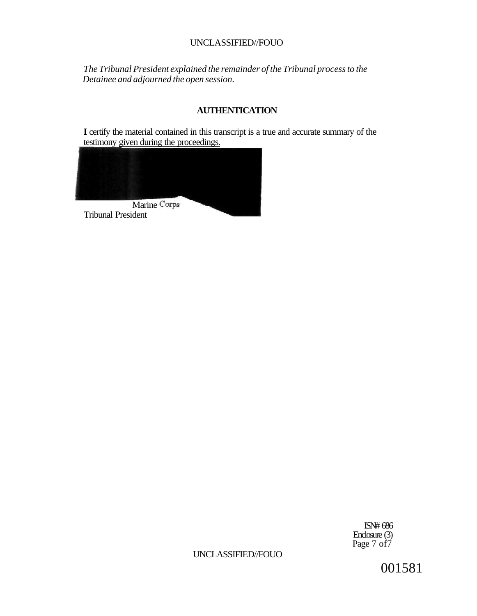*The Tribunal President explained the remainder of the Tribunal process to the Detainee and adjourned the open session.* 

# **AUTHENTICATION**

**I** certify the material contained in this transcript is a true and accurate summary of the testimony given during the proceedings.



ISN# 686 Enclosure (3) Page 7 of7

UNCLASSIFIED//FOUO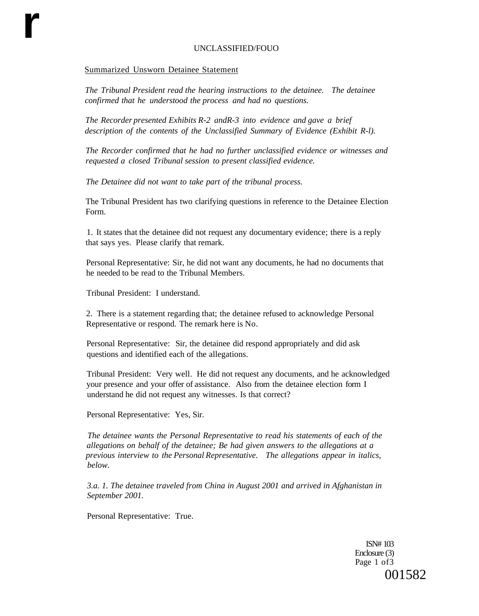#### Summarized Unsworn Detainee Statement

**r** 

*The Tribunal President read the hearing instructions to the detainee. The detainee confirmed that he understood the process and had no questions.* 

*The Recorder presented Exhibits R-2 andR-3 into evidence and gave a brief description of the contents of the Unclassified Summary of Evidence (Exhibit R-l).* 

*The Recorder confirmed that he had no further unclassified evidence or witnesses and requested a closed Tribunal session to present classified evidence.* 

*The Detainee did not want to take part of the tribunal process.* 

The Tribunal President has two clarifying questions in reference to the Detainee Election Form.

1. It states that the detainee did not request any documentary evidence; there is a reply that says yes. Please clarify that remark.

Personal Representative: Sir, he did not want any documents, he had no documents that he needed to be read to the Tribunal Members.

Tribunal President: I understand.

2. There is a statement regarding that; the detainee refused to acknowledge Personal Representative or respond. The remark here is No.

Personal Representative: Sir, the detainee did respond appropriately and did ask questions and identified each of the allegations.

Tribunal President: Very well. He did not request any documents, and he acknowledged your presence and your offer of assistance. Also from the detainee election form I understand he did not request any witnesses. Is that correct?

Personal Representative: Yes, Sir.

*The detainee wants the Personal Representative to read his statements of each of the allegations on behalf of the detainee; Be had given answers to the allegations at a previous interview to the Personal Representative. The allegations appear in italics, below.* 

*3.a. 1. The detainee traveled from China in August 2001 and arrived in Afghanistan in September 2001.* 

Personal Representative: True.

ISN# 103 Enclosure (3) Page 1 of3 001582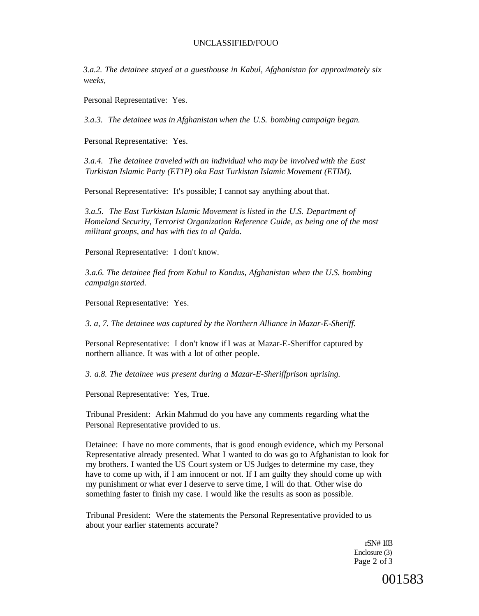*3.a.2. The detainee stayed at a guesthouse in Kabul, Afghanistan for approximately six weeks,* 

Personal Representative: Yes.

*3.a.3. The detainee was in Afghanistan when the U.S. bombing campaign began.* 

Personal Representative: Yes.

*3.a.4. The detainee traveled with an individual who may be involved with the East Turkistan Islamic Party (ET1P) oka East Turkistan Islamic Movement (ETIM).* 

Personal Representative: It's possible; I cannot say anything about that.

*3.a.5. The East Turkistan Islamic Movement is listed in the U.S. Department of Homeland Security, Terrorist Organization Reference Guide, as being one of the most militant groups, and has with ties to al Qaida.* 

Personal Representative: I don't know.

*3.a.6. The detainee fled from Kabul to Kandus, Afghanistan when the U.S. bombing campaign started.* 

Personal Representative: Yes.

*3. a, 7. The detainee was captured by the Northern Alliance in Mazar-E-Sheriff.* 

Personal Representative: I don't know if I was at Mazar-E-Sheriffor captured by northern alliance. It was with a lot of other people.

*3. a.8. The detainee was present during a Mazar-E-Sheriffprison uprising.* 

Personal Representative: Yes, True.

Tribunal President: Arkin Mahmud do you have any comments regarding what the Personal Representative provided to us.

Detainee: I have no more comments, that is good enough evidence, which my Personal Representative already presented. What I wanted to do was go to Afghanistan to look for my brothers. I wanted the US Court system or US Judges to determine my case, they have to come up with, if I am innocent or not. If I am guilty they should come up with my punishment or what ever I deserve to serve time, I will do that. Other wise do something faster to finish my case. I would like the results as soon as possible.

Tribunal President: Were the statements the Personal Representative provided to us about your earlier statements accurate?

> rSN# 103 Enclosure (3) Page 2 of 3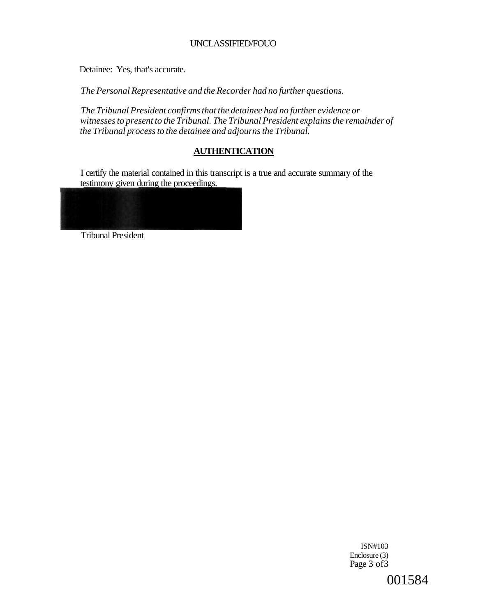Detainee: Yes, that's accurate.

*The Personal Representative and the Recorder had no further questions.* 

*The Tribunal President confirms that the detainee had no further evidence or witnesses to present to the Tribunal. The Tribunal President explains the remainder of the Tribunal process to the detainee and adjourns the Tribunal.* 

# **AUTHENTICATION**

I certify the material contained in this transcript is a true and accurate summary of the testimony given during the proceedings.



Tribunal President

ISN#103 Enclosure (3) Page 3 of3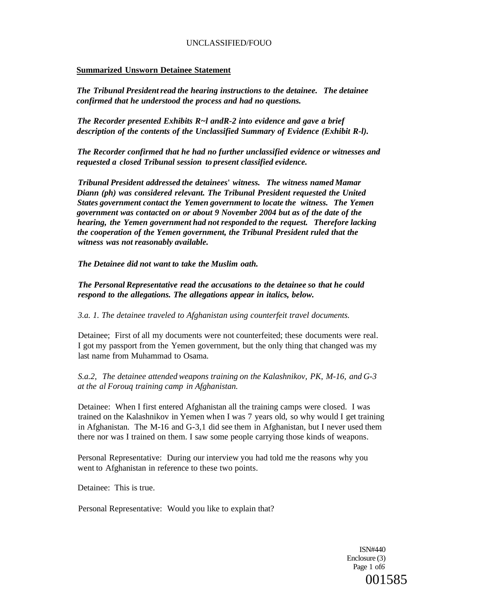#### **Summarized Unsworn Detainee Statement**

*The Tribunal President read the hearing instructions to the detainee. The detainee confirmed that he understood the process and had no questions.* 

*The Recorder presented Exhibits R~l andR-2 into evidence and gave a brief description of the contents of the Unclassified Summary of Evidence (Exhibit R-l).* 

*The Recorder confirmed that he had no further unclassified evidence or witnesses and requested a closed Tribunal session to present classified evidence.* 

*Tribunal President addressed the detainees***'** *witness. The witness named Mamar Diann (ph) was considered relevant. The Tribunal President requested the United States government contact the Yemen government to locate the witness. The Yemen government was contacted on or about 9 November 2004 but as of the date of the hearing, the Yemen government had not responded to the request. Therefore lacking the cooperation of the Yemen government, the Tribunal President ruled that the witness was not reasonably available.* 

*The Detainee did not want to take the Muslim oath.* 

*The Personal Representative read the accusations to the detainee so that he could respond to the allegations. The allegations appear in italics, below.* 

*3.a. 1. The detainee traveled to Afghanistan using counterfeit travel documents.* 

Detainee; First of all my documents were not counterfeited; these documents were real. I got my passport from the Yemen government, but the only thing that changed was my last name from Muhammad to Osama.

*S.a.2, The detainee attended weapons training on the Kalashnikov, PK, M-16, and G-3 at the al Forouq training camp in Afghanistan.* 

Detainee: When I first entered Afghanistan all the training camps were closed. I was trained on the Kalashnikov in Yemen when I was 7 years old, so why would I get training in Afghanistan. The M-16 and G-3,1 did see them in Afghanistan, but I never used them there nor was I trained on them. I saw some people carrying those kinds of weapons.

Personal Representative: During our interview you had told me the reasons why you went to Afghanistan in reference to these two points.

Detainee: This is true.

Personal Representative: Would you like to explain that?

ISN#440 Enclosure (3) Page 1 of*6*  001585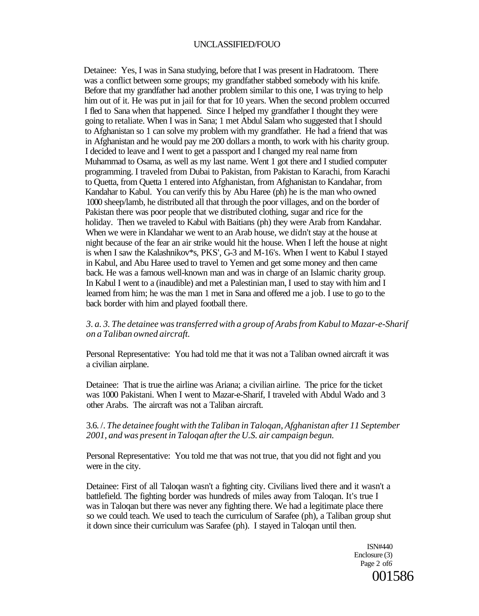Detainee: Yes, I was in Sana studying, before that I was present in Hadratoom. There was a conflict between some groups; my grandfather stabbed somebody with his knife. Before that my grandfather had another problem similar to this one, I was trying to help him out of it. He was put in jail for that for 10 years. When the second problem occurred I fled to Sana when that happened. Since I helped my grandfather I thought they were going to retaliate. When I was in Sana; 1 met Abdul Salam who suggested that I should to Afghanistan so 1 can solve my problem with my grandfather. He had a friend that was in Afghanistan and he would pay me 200 dollars a month, to work with his charity group. I decided to leave and I went to get a passport and I changed my real name from Muhammad to Osama, as well as my last name. Went 1 got there and I studied computer programming. I traveled from Dubai to Pakistan, from Pakistan to Karachi, from Karachi to Quetta, from Quetta 1 entered into Afghanistan, from Afghanistan to Kandahar, from Kandahar to Kabul. You can verify this by Abu Haree (ph) he is the man who owned 1000 sheep/lamb, he distributed all that through the poor villages, and on the border of Pakistan there was poor people that we distributed clothing, sugar and rice for the holiday. Then we traveled to Kabul with Baitians (ph) they were Arab from Kandahar. When we were in Klandahar we went to an Arab house, we didn't stay at the house at night because of the fear an air strike would hit the house. When I left the house at night is when I saw the Kalashnikov\*s, PKS', G-3 and M-16's. When I went to Kabul I stayed in Kabul, and Abu Haree used to travel to Yemen and get some money and then came back. He was a famous well-known man and was in charge of an Islamic charity group. In Kabul I went to a (inaudible) and met a Palestinian man, I used to stay with him and I learned from him; he was the man 1 met in Sana and offered me a job. I use to go to the back border with him and played football there.

*3. a. 3. The detainee was transferred with a group of Arabs from Kabul to Mazar-e-Sharif on a Taliban owned aircraft.* 

Personal Representative: You had told me that it was not a Taliban owned aircraft it was a civilian airplane.

Detainee: That is true the airline was Ariana; a civilian airline. The price for the ticket was 1000 Pakistani. When I went to Mazar-e-Sharif, I traveled with Abdul Wado and 3 other Arabs. The aircraft was not a Taliban aircraft.

#### 3.6. /. *The detainee fought with the Taliban in Taloqan, Afghanistan after 11 September 2001, and was present in Taloqan after the U.S. air campaign begun.*

Personal Representative: You told me that was not true, that you did not fight and you were in the city.

Detainee: First of all Taloqan wasn't a fighting city. Civilians lived there and it wasn't a battlefield. The fighting border was hundreds of miles away from Taloqan. It's true I was in Taloqan but there was never any fighting there. We had a legitimate place there so we could teach. We used to teach the curriculum of Sarafee (ph), a Taliban group shut it down since their curriculum was Sarafee (ph). I stayed in Taloqan until then.

> ISN#440 Enclosure (3) Page 2 of*6*  001586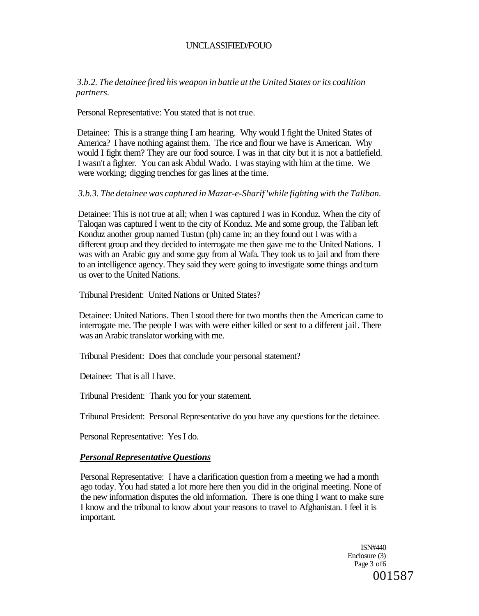*3.b.2. The detainee fired his weapon in battle at the United States or its coalition partners.* 

Personal Representative: You stated that is not true.

Detainee: This is a strange thing I am hearing. Why would I fight the United States of America? I have nothing against them. The rice and flour we have is American. Why would I fight them? They are our food source. I was in that city but it is not a battlefield. I wasn't a fighter. You can ask Abdul Wado. I was staying with him at the time. We were working; digging trenches for gas lines at the time.

### *3.b.3. The detainee was captured in Mazar-e-Sharif 'while fighting with the Taliban.*

Detainee: This is not true at all; when I was captured I was in Konduz. When the city of Taloqan was captured I went to the city of Konduz. Me and some group, the Taliban left Konduz another group named Tustun (ph) came in; an they found out I was with a different group and they decided to interrogate me then gave me to the United Nations. I was with an Arabic guy and some guy from al Wafa. They took us to jail and from there to an intelligence agency. They said they were going to investigate some things and turn us over to the United Nations.

Tribunal President: United Nations or United States?

Detainee: United Nations. Then I stood there for two months then the American came to interrogate me. The people I was with were either killed or sent to a different jail. There was an Arabic translator working with me.

Tribunal President: Does that conclude your personal statement?

Detainee: That is all I have.

Tribunal President: Thank you for your statement.

Tribunal President: Personal Representative do you have any questions for the detainee.

Personal Representative: Yes I do.

### *Personal Representative Questions*

Personal Representative: I have a clarification question from a meeting we had a month ago today. You had stated a lot more here then you did in the original meeting. None of the new information disputes the old information. There is one thing I want to make sure I know and the tribunal to know about your reasons to travel to Afghanistan. I feel it is important.

> ISN#440 Enclosure (3) Page 3 of6 001587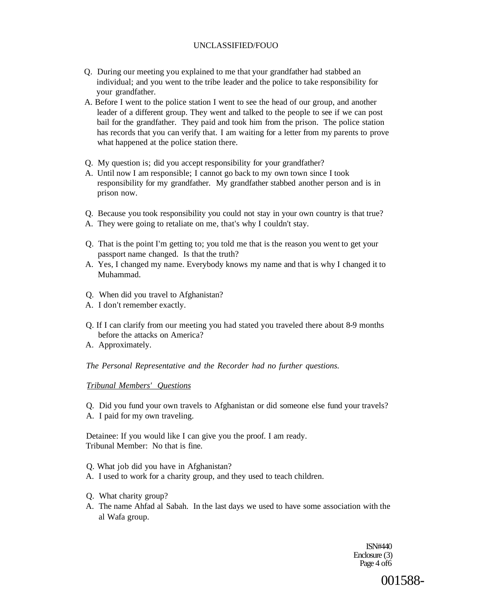- Q. During our meeting you explained to me that your grandfather had stabbed an individual; and you went to the tribe leader and the police to take responsibility for your grandfather.
- A. Before I went to the police station I went to see the head of our group, and another leader of a different group. They went and talked to the people to see if we can post bail for the grandfather. They paid and took him from the prison. The police station has records that you can verify that. I am waiting for a letter from my parents to prove what happened at the police station there.
- Q. My question is; did you accept responsibility for your grandfather?
- A. Until now I am responsible; I cannot go back to my own town since I took responsibility for my grandfather. My grandfather stabbed another person and is in prison now.
- Q. Because you took responsibility you could not stay in your own country is that true?
- A. They were going to retaliate on me, that's why I couldn't stay.
- Q. That is the point I'm getting to; you told me that is the reason you went to get your passport name changed. Is that the truth?
- A. Yes, I changed my name. Everybody knows my name and that is why I changed it to Muhammad.
- Q. When did you travel to Afghanistan?
- A. I don't remember exactly.
- Q. If I can clarify from our meeting you had stated you traveled there about 8-9 months before the attacks on America?
- A. Approximately.

*The Personal Representative and the Recorder had no further questions.* 

### *Tribunal Members' Questions*

Q. Did you fund your own travels to Afghanistan or did someone else fund your travels? A. I paid for my own traveling.

Detainee: If you would like I can give you the proof. I am ready. Tribunal Member: No that is fine.

- Q. What job did you have in Afghanistan?
- A. I used to work for a charity group, and they used to teach children.
- Q. What charity group?
- A. The name Ahfad al Sabah. In the last days we used to have some association with the al Wafa group.

ISN#440 Enclosure (3) Page 4 of 6

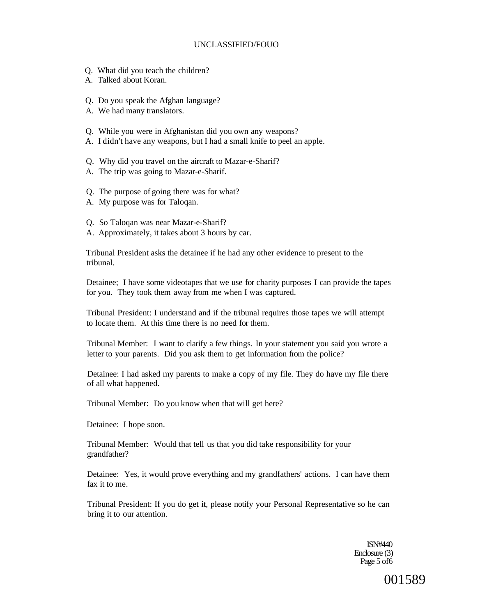- Q. What did you teach the children?
- A. Talked about Koran.
- Q. Do you speak the Afghan language?
- A. We had many translators.
- Q. While you were in Afghanistan did you own any weapons?
- A. I didn't have any weapons, but I had a small knife to peel an apple.
- Q. Why did you travel on the aircraft to Mazar-e-Sharif?
- A. The trip was going to Mazar-e-Sharif.
- Q. The purpose of going there was for what?
- A. My purpose was for Taloqan.
- Q. So Taloqan was near Mazar-e-Sharif?
- A. Approximately, it takes about 3 hours by car.

Tribunal President asks the detainee if he had any other evidence to present to the tribunal.

Detainee; I have some videotapes that we use for charity purposes I can provide the tapes for you. They took them away from me when I was captured.

Tribunal President: I understand and if the tribunal requires those tapes we will attempt to locate them. At this time there is no need for them.

Tribunal Member: I want to clarify a few things. In your statement you said you wrote a letter to your parents. Did you ask them to get information from the police?

Detainee: I had asked my parents to make a copy of my file. They do have my file there of all what happened.

Tribunal Member: Do you know when that will get here?

Detainee: I hope soon.

Tribunal Member: Would that tell us that you did take responsibility for your grandfather?

Detainee: Yes, it would prove everything and my grandfathers' actions. I can have them fax it to me.

Tribunal President: If you do get it, please notify your Personal Representative so he can bring it to our attention.

> ISN#440 Enclosure (3) Page 5 of6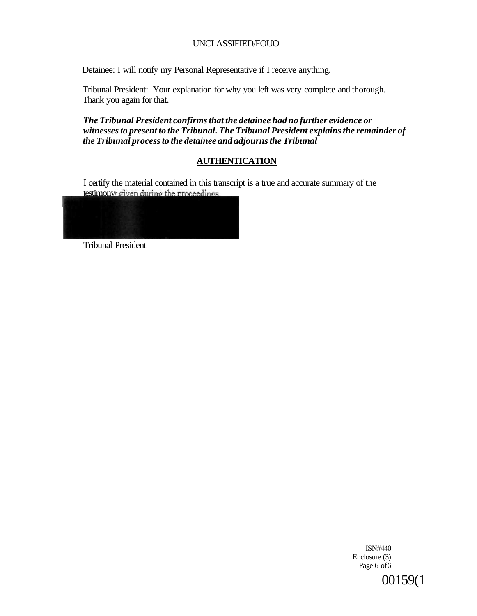Detainee: I will notify my Personal Representative if I receive anything.

Tribunal President: Your explanation for why you left was very complete and thorough. Thank you again for that.

*The Tribunal President confirms that the detainee had no further evidence or witnesses to present to the Tribunal. The Tribunal President explains the remainder of the Tribunal process to the detainee and adjourns the Tribunal* 

# **AUTHENTICATION**

I certify the material contained in this transcript is a true and accurate summary of the testimony given during the proceedings.



Tribunal President

ISN#440 Enclosure (3) Page 6 of 6

00159(1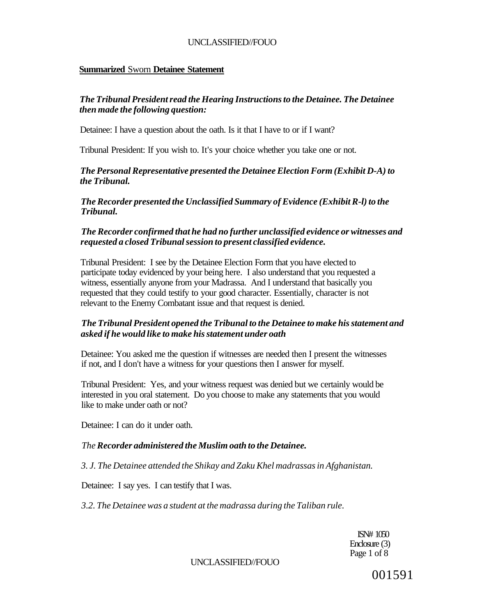### **Summarized** Sworn **Detainee Statement**

# *The Tribunal President read the Hearing Instructions to the Detainee. The Detainee then made the following question:*

Detainee: I have a question about the oath. Is it that I have to or if I want?

Tribunal President: If you wish to. It's your choice whether you take one or not.

*The Personal Representative presented the Detainee Election Form (Exhibit D-A) to the Tribunal.* 

*The Recorder presented the Unclassified Summary of Evidence (Exhibit R-l) to the Tribunal.* 

# *The Recorder confirmed that he had no further unclassified evidence or witnesses and requested a closed Tribunal session to present classified evidence.*

Tribunal President: I see by the Detainee Election Form that you have elected to participate today evidenced by your being here. I also understand that you requested a witness, essentially anyone from your Madrassa. And I understand that basically you requested that they could testify to your good character. Essentially, character is not relevant to the Enemy Combatant issue and that request is denied.

### *The Tribunal President opened the Tribunal to the Detainee to make his statement and asked if he would like to make his statement under oath*

Detainee: You asked me the question if witnesses are needed then I present the witnesses if not, and I don't have a witness for your questions then I answer for myself.

Tribunal President: Yes, and your witness request was denied but we certainly would be interested in you oral statement. Do you choose to make any statements that you would like to make under oath or not?

Detainee: I can do it under oath.

### *The Recorder administered the Muslim oath to the Detainee.*

*3. J. The Detainee attended the Shikay and Zaku Khel madrassas in Afghanistan.* 

Detainee: I say yes. I can testify that I was.

*3.2. The Detainee was a student at the madrassa during the Taliban rule.* 

ISN# 1050 Enclosure (3) Page 1 of 8

UNCLASSIFIED//FOUO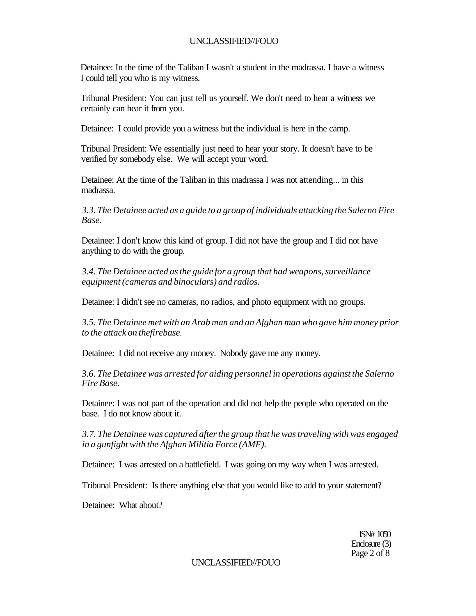Detainee: In the time of the Taliban I wasn't a student in the madrassa. I have a witness I could tell you who is my witness.

Tribunal President: You can just tell us yourself. We don't need to hear a witness we certainly can hear it from you.

Detainee: I could provide you a witness but the individual is here in the camp.

Tribunal President: We essentially just need to hear your story. It doesn't have to be verified by somebody else. We will accept your word.

Detainee: At the time of the Taliban in this madrassa I was not attending... in this madrassa.

*3.3. The Detainee acted as a guide to a group of individuals attacking the Salerno Fire Base.* 

Detainee: I don't know this kind of group. I did not have the group and I did not have anything to do with the group.

*3.4. The Detainee acted as the guide for a group that had weapons, surveillance equipment (cameras and binoculars) and radios.* 

Detainee: I didn't see no cameras, no radios, and photo equipment with no groups.

*3.5. The Detainee met with an Arab man and an Afghan man who gave him money prior to the attack on thefirebase.* 

Detainee: I did not receive any money. Nobody gave me any money.

*3.6. The Detainee was arrested for aiding personnel in operations against the Salerno Fire Base.* 

Detainee: I was not part of the operation and did not help the people who operated on the base. I do not know about it.

*3.7. The Detainee was captured after the group that he was traveling with was engaged in a gunfight with the Afghan Militia Force (AMF).* 

Detainee: I was arrested on a battlefield. I was going on my way when I was arrested.

Tribunal President: Is there anything else that you would like to add to your statement?

Detainee: What about?

ISN# 1050 Enclosure (3) Page 2 of 8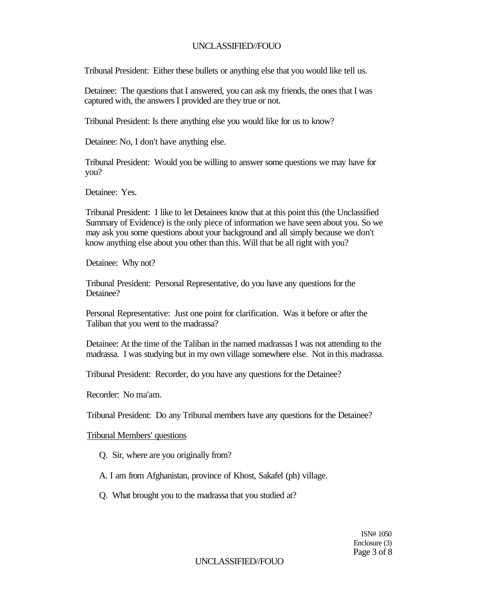Tribunal President: Either these bullets or anything else that you would like tell us.

Detainee: The questions that I answered, you can ask my friends, the ones that I was captured with, the answers I provided are they true or not.

Tribunal President: Is there anything else you would like for us to know?

Detainee: No, I don't have anything else.

Tribunal President: Would you be willing to answer some questions we may have for you?

Detainee: Yes.

Tribunal President: I like to let Detainees know that at this point this (the Unclassified Summary of Evidence) is the only piece of information we have seen about you. So we may ask you some questions about your background and all simply because we don't know anything else about you other than this. Will that be all right with you?

Detainee: Why not?

Tribunal President: Personal Representative, do you have any questions for the Detainee?

Personal Representative: Just one point for clarification. Was it before or after the Taliban that you went to the madrassa?

Detainee: At the time of the Taliban in the named madrassas I was not attending to the madrassa. I was studying but in my own village somewhere else. Not in this madrassa.

Tribunal President: Recorder, do you have any questions for the Detainee?

Recorder: No ma'am.

Tribunal President: Do any Tribunal members have any questions for the Detainee?

Tribunal Members' questions

Q. Sir, where are you originally from?

A. I am from Afghanistan, province of Khost, Sakafel (ph) village.

Q. What brought you to the madrassa that you studied at?

ISN# 1050 Enclosure (3) Page 3 of 8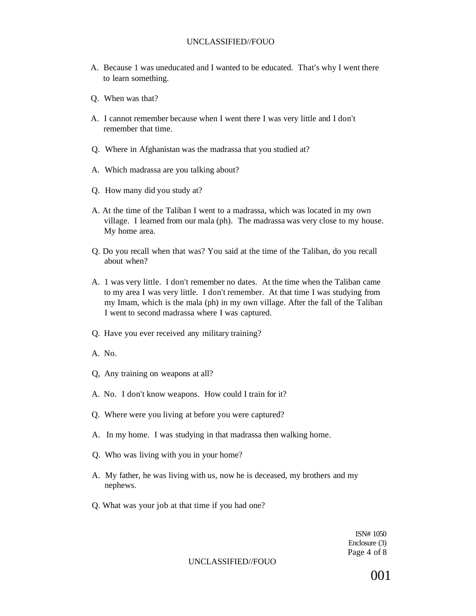- A. Because 1 was uneducated and I wanted to be educated. That's why I went there to learn something.
- Q. When was that?
- A. I cannot remember because when I went there I was very little and I don't remember that time.
- Q. Where in Afghanistan was the madrassa that you studied at?
- A. Which madrassa are you talking about?
- Q. How many did you study at?
- A. At the time of the Taliban I went to a madrassa, which was located in my own village. I learned from our mala (ph). The madrassa was very close to my house. My home area.
- Q. Do you recall when that was? You said at the time of the Taliban, do you recall about when?
- A. 1 was very little. I don't remember no dates. At the time when the Taliban came to my area I was very little. I don't remember. At that time I was studying from my Imam, which is the mala (ph) in my own village. After the fall of the Taliban I went to second madrassa where I was captured.
- Q. Have you ever received any military training?
- A. No.
- Q, Any training on weapons at all?
- A. No. I don't know weapons. How could I train for it?
- Q. Where were you living at before you were captured?
- A. In my home. I was studying in that madrassa then walking home.
- Q. Who was living with you in your home?
- A. My father, he was living with us, now he is deceased, my brothers and my nephews.
- Q. What was your job at that time if you had one?

ISN# 1050 Enclosure (3) Page 4 of 8

#### UNCLASSIFIED//FOUO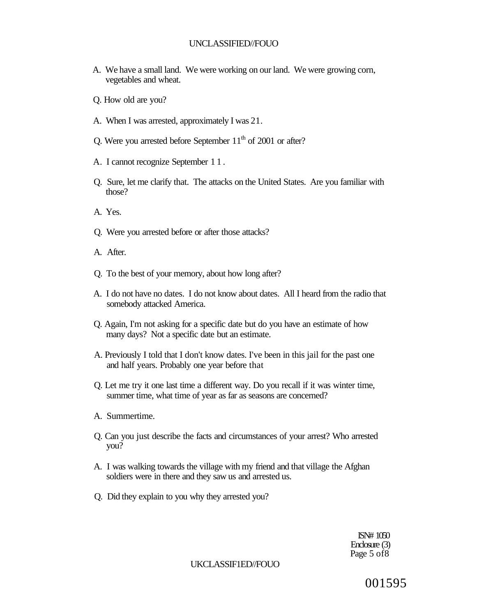- A. We have a small land. We were working on our land. We were growing corn, vegetables and wheat.
- Q. How old are you?
- A. When I was arrested, approximately I was 21.
- Q. Were you arrested before September  $11<sup>th</sup>$  of 2001 or after?
- A. I cannot recognize September 11 .
- Q. Sure, let me clarify that. The attacks on the United States. Are you familiar with those?
- A. Yes.
- Q. Were you arrested before or after those attacks?
- A. After.
- Q. To the best of your memory, about how long after?
- A. I do not have no dates. I do not know about dates. All I heard from the radio that somebody attacked America.
- Q. Again, I'm not asking for a specific date but do you have an estimate of how many days? Not a specific date but an estimate.
- A. Previously I told that I don't know dates. I've been in this jail for the past one and half years. Probably one year before that
- Q. Let me try it one last time a different way. Do you recall if it was winter time, summer time, what time of year as far as seasons are concerned?
- A. Summertime.
- Q. Can you just describe the facts and circumstances of your arrest? Who arrested you?
- A. I was walking towards the village with my friend and that village the Afghan soldiers were in there and they saw us and arrested us.
- Q. Did they explain to you why they arrested you?

ISN# 1050 Enclosure (3) Page 5 of8

UKCLASSIF1ED//FOUO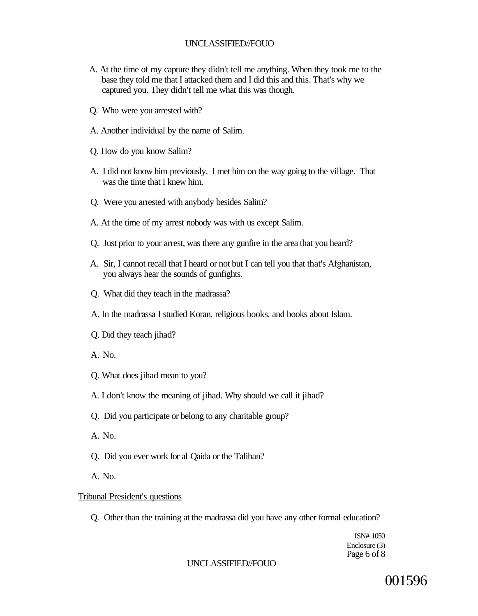- A. At the time of my capture they didn't tell me anything. When they took me to the base they told me that I attacked them and I did this and this. That's why we captured you. They didn't tell me what this was though.
- Q. Who were you arrested with?
- A. Another individual by the name of Salim.
- Q. How do you know Salim?
- A. I did not know him previously. I met him on the way going to the village. That was the time that I knew him.
- Q. Were you arrested with anybody besides Salim?
- A. At the time of my arrest nobody was with us except Salim.
- Q. Just prior to your arrest, was there any gunfire in the area that you heard?
- A. Sir, I cannot recall that I heard or not but I can tell you that that's Afghanistan, you always hear the sounds of gunfights.
- Q. What did they teach in the madrassa?
- A. In the madrassa I studied Koran, religious books, and books about Islam.
- Q. Did they teach jihad?
- A. No.
- Q. What does jihad mean to you?
- A. I don't know the meaning of jihad. Why should we call it jihad?
- Q. Did you participate or belong to any charitable group?
- A. No.
- Q. Did you ever work for al Qaida or the Taliban?
- A. No.

#### Tribunal President's questions

Q. Other than the training at the madrassa did you have any other formal education?

ISN# 1050 Enclosure (3) Page 6 of 8

### UNCLASSIFIED//FOUO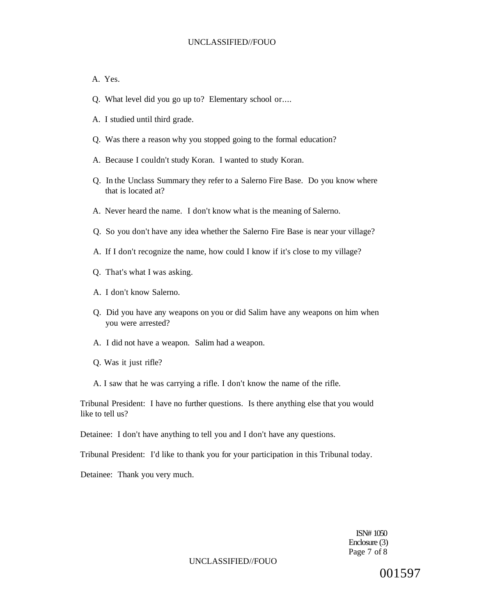A. Yes.

- Q. What level did you go up to? Elementary school or....
- A. I studied until third grade.
- Q. Was there a reason why you stopped going to the formal education?
- A. Because I couldn't study Koran. I wanted to study Koran.
- Q. In the Unclass Summary they refer to a Salerno Fire Base. Do you know where that is located at?
- A. Never heard the name. I don't know what is the meaning of Salerno.
- Q. So you don't have any idea whether the Salerno Fire Base is near your village?
- A. If I don't recognize the name, how could I know if it's close to my village?
- Q. That's what I was asking.
- A. I don't know Salerno.
- Q. Did you have any weapons on you or did Salim have any weapons on him when you were arrested?
- A. I did not have a weapon. Salim had a weapon.
- Q. Was it just rifle?
- A. I saw that he was carrying a rifle. I don't know the name of the rifle.

Tribunal President: I have no further questions. Is there anything else that you would like to tell us?

Detainee: I don't have anything to tell you and I don't have any questions.

Tribunal President: I'd like to thank you for your participation in this Tribunal today.

Detainee: Thank you very much.

ISN# 1050 Enclosure (3) Page 7 of 8

#### UNCLASSIFIED//FOUO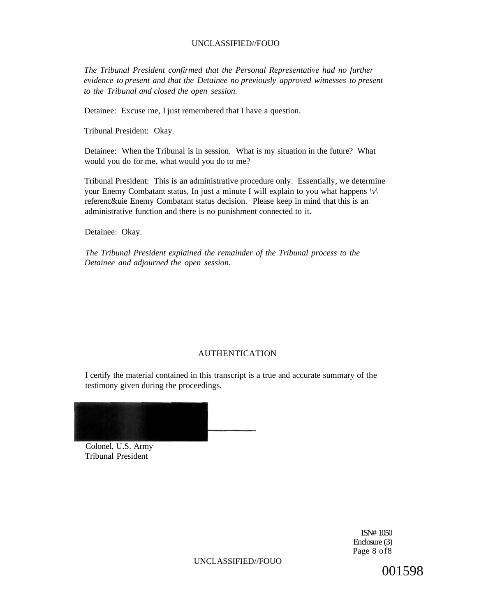*The Tribunal President confirmed that the Personal Representative had no further evidence to present and that the Detainee no previously approved witnesses to present to the Tribunal and closed the open session.* 

Detainee: Excuse me, I just remembered that I have a question.

Tribunal President: Okay.

Detainee: When the Tribunal is in session. What is my situation in the future? What would you do for me, what would you do to me?

Tribunal President: This is an administrative procedure only. Essentially, we determine your Enemy Combatant status, In just a minute I will explain to you what happens  $|\nu\rangle$ referenc&uie Enemy Combatant status decision. Please keep in mind that this is an administrative function and there is no punishment connected to it.

Detainee: Okay.

*The Tribunal President explained the remainder of the Tribunal process to the Detainee and adjourned the open session.* 

#### AUTHENTICATION

I certify the material contained in this transcript is a true and accurate summary of the testimony given during the proceedings.



Colonel, U.S. Army Tribunal President

> 1SN# 1050 Enclosure (3) Page 8 of8

UNCLASSIFIED//FOUO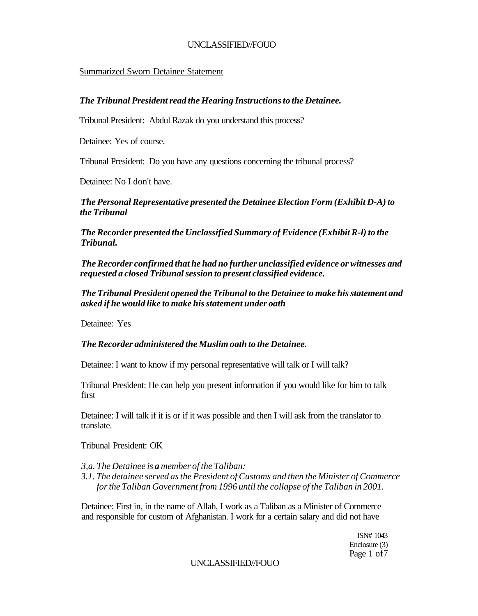#### Summarized Sworn Detainee Statement

### *The Tribunal President read the Hearing Instructions to the Detainee.*

Tribunal President: Abdul Razak do you understand this process?

Detainee: Yes of course.

Tribunal President: Do you have any questions concerning the tribunal process?

Detainee: No I don't have.

### *The Personal Representative presented the Detainee Election Form (Exhibit D-A) to the Tribunal*

*The Recorder presented the Unclassified Summary of Evidence (Exhibit R-l) to the Tribunal.* 

*The Recorder confirmed that he had no further unclassified evidence or witnesses and requested a closed Tribunal session to present classified evidence.* 

*The Tribunal President opened the Tribunal to the Detainee to make his statement and asked if he would like to make his statement under oath* 

Detainee: Yes

### *The Recorder administered the Muslim oath to the Detainee.*

Detainee: I want to know if my personal representative will talk or I will talk?

Tribunal President: He can help you present information if you would like for him to talk first

Detainee: I will talk if it is or if it was possible and then I will ask from the translator to translate.

Tribunal President: OK

*3,a. The Detainee is a member of the Taliban:* 

*3.1. The detainee served as the President of Customs and then the Minister of Commerce for the Taliban Government from 1996 until the collapse of the Taliban in 2001.* 

Detainee: First in, in the name of Allah, I work as a Taliban as a Minister of Commerce and responsible for custom of Afghanistan. I work for a certain salary and did not have

> ISN# 1043 Enclosure (3) Page 1 of7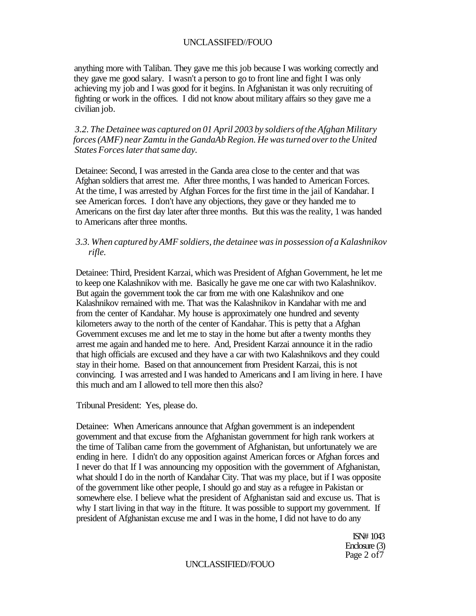anything more with Taliban. They gave me this job because I was working correctly and they gave me good salary. I wasn't a person to go to front line and fight I was only achieving my job and I was good for it begins. In Afghanistan it was only recruiting of fighting or work in the offices. I did not know about military affairs so they gave me a civilian job.

### *3.2. The Detainee was captured on 01 April 2003 by soldiers of the Afghan Military forces (AMF) near Zamtu in the GandaAb Region. He was turned over to the United States Forces later that same day.*

Detainee: Second, I was arrested in the Ganda area close to the center and that was Afghan soldiers that arrest me. After three months, I was handed to American Forces. At the time, I was arrested by Afghan Forces for the first time in the jail of Kandahar. I see American forces. I don't have any objections, they gave or they handed me to Americans on the first day later after three months. But this was the reality, 1 was handed to Americans after three months.

### *3.3. When captured by AMF soldiers, the detainee was in possession of a Kalashnikov rifle.*

Detainee: Third, President Karzai, which was President of Afghan Government, he let me to keep one Kalashnikov with me. Basically he gave me one car with two Kalashnikov. But again the government took the car from me with one Kalashnikov and one Kalashnikov remained with me. That was the Kalashnikov in Kandahar with me and from the center of Kandahar. My house is approximately one hundred and seventy kilometers away to the north of the center of Kandahar. This is petty that a Afghan Government excuses me and let me to stay in the home but after a twenty months they arrest me again and handed me to here. And, President Karzai announce it in the radio that high officials are excused and they have a car with two Kalashnikovs and they could stay in their home. Based on that announcement from President Karzai, this is not convincing. I was arrested and I was handed to Americans and I am living in here. I have this much and am I allowed to tell more then this also?

Tribunal President: Yes, please do.

Detainee: When Americans announce that Afghan government is an independent government and that excuse from the Afghanistan government for high rank workers at the time of Taliban came from the government of Afghanistan, but unfortunately we are ending in here. I didn't do any opposition against American forces or Afghan forces and I never do that If I was announcing my opposition with the government of Afghanistan, what should I do in the north of Kandahar City. That was my place, but if I was opposite of the government like other people, I should go and stay as a refugee in Pakistan or somewhere else. I believe what the president of Afghanistan said and excuse us. That is why I start living in that way in the ftiture. It was possible to support my government. If president of Afghanistan excuse me and I was in the home, I did not have to do any

> ISN# 1043 Enclosure (3) Page 2 of7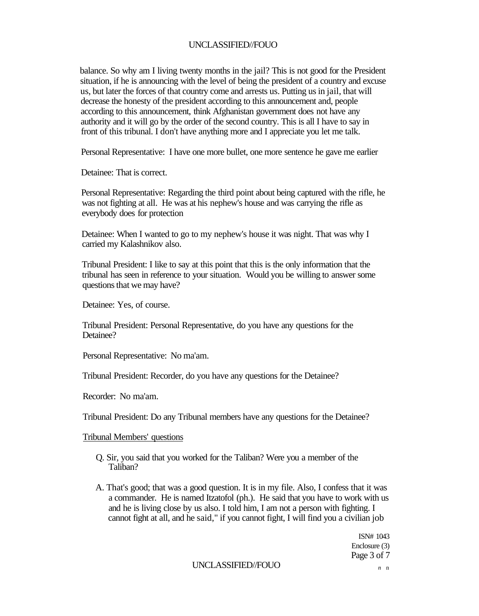balance. So why am I living twenty months in the jail? This is not good for the President situation, if he is announcing with the level of being the president of a country and excuse us, but later the forces of that country come and arrests us. Putting us in jail, that will decrease the honesty of the president according to this announcement and, people according to this announcement, think Afghanistan government does not have any authority and it will go by the order of the second country. This is all I have to say in front of this tribunal. I don't have anything more and I appreciate you let me talk.

Personal Representative: I have one more bullet, one more sentence he gave me earlier

Detainee: That is correct.

Personal Representative: Regarding the third point about being captured with the rifle, he was not fighting at all. He was at his nephew's house and was carrying the rifle as everybody does for protection

Detainee: When I wanted to go to my nephew's house it was night. That was why I carried my Kalashnikov also.

Tribunal President: I like to say at this point that this is the only information that the tribunal has seen in reference to your situation. Would you be willing to answer some questions that we may have?

Detainee: Yes, of course.

Tribunal President: Personal Representative, do you have any questions for the Detainee?

Personal Representative: No ma'am.

Tribunal President: Recorder, do you have any questions for the Detainee?

Recorder: No ma'am.

Tribunal President: Do any Tribunal members have any questions for the Detainee?

Tribunal Members' questions

- Q. Sir, you said that you worked for the Taliban? Were you a member of the Taliban?
- A. That's good; that was a good question. It is in my file. Also, I confess that it was a commander. He is named Itzatofol (ph.). He said that you have to work with us and he is living close by us also. I told him, I am not a person with fighting. I cannot fight at all, and he said," if you cannot fight, I will find you a civilian job

ISN# 1043 Enclosure (3) Page 3 of 7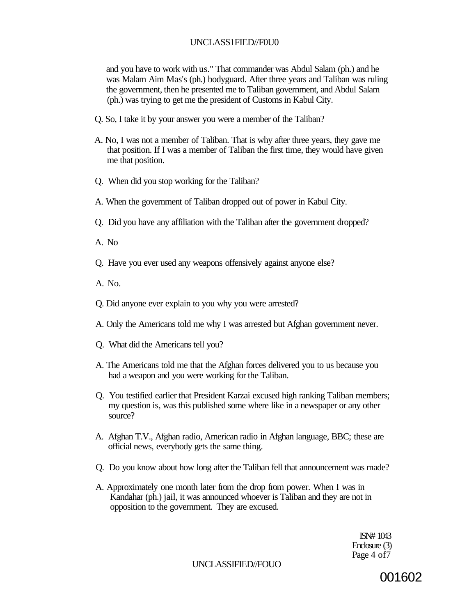### UNCLASS1FIED//F0U0

and you have to work with us." That commander was Abdul Salam (ph.) and he was Malam Aim Mas's (ph.) bodyguard. After three years and Taliban was ruling the government, then he presented me to Taliban government, and Abdul Salam (ph.) was trying to get me the president of Customs in Kabul City.

- Q. So, I take it by your answer you were a member of the Taliban?
- A. No, I was not a member of Taliban. That is why after three years, they gave me that position. If I was a member of Taliban the first time, they would have given me that position.
- Q. When did you stop working for the Taliban?
- A. When the government of Taliban dropped out of power in Kabul City.
- Q. Did you have any affiliation with the Taliban after the government dropped?

A. No

Q. Have you ever used any weapons offensively against anyone else?

A. No.

- Q. Did anyone ever explain to you why you were arrested?
- A. Only the Americans told me why I was arrested but Afghan government never.
- Q. What did the Americans tell you?
- A. The Americans told me that the Afghan forces delivered you to us because you had a weapon and you were working for the Taliban.
- Q. You testified earlier that President Karzai excused high ranking Taliban members; my question is, was this published some where like in a newspaper or any other source?
- A. Afghan T.V., Afghan radio, American radio in Afghan language, BBC; these are official news, everybody gets the same thing.
- Q. Do you know about how long after the Taliban fell that announcement was made?
- A. Approximately one month later from the drop from power. When I was in Kandahar (ph.) jail, it was announced whoever is Taliban and they are not in opposition to the government. They are excused.

ISN# 1043 Enclosure (3) Page 4 of7

UNCLASSIFIED//FOUO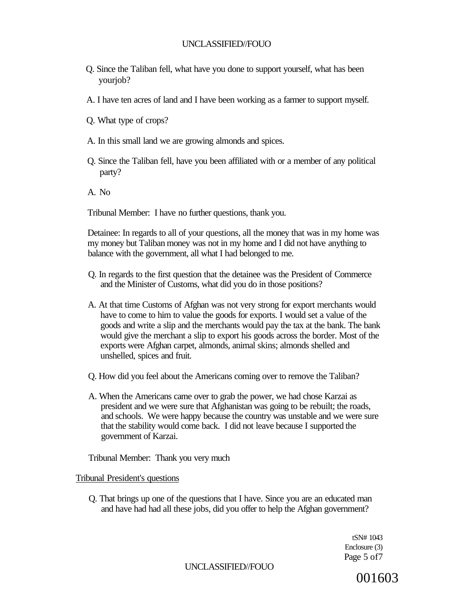- Q. Since the Taliban fell, what have you done to support yourself, what has been yourjob?
- A. I have ten acres of land and I have been working as a farmer to support myself.
- Q. What type of crops?
- A. In this small land we are growing almonds and spices.
- Q. Since the Taliban fell, have you been affiliated with or a member of any political party?
- A. No

Tribunal Member: I have no further questions, thank you.

Detainee: In regards to all of your questions, all the money that was in my home was my money but Taliban money was not in my home and I did not have anything to balance with the government, all what I had belonged to me.

- Q. In regards to the first question that the detainee was the President of Commerce and the Minister of Customs, what did you do in those positions?
- A. At that time Customs of Afghan was not very strong for export merchants would have to come to him to value the goods for exports. I would set a value of the goods and write a slip and the merchants would pay the tax at the bank. The bank would give the merchant a slip to export his goods across the border. Most of the exports were Afghan carpet, almonds, animal skins; almonds shelled and unshelled, spices and fruit.
- Q. How did you feel about the Americans coming over to remove the Taliban?
- A. When the Americans came over to grab the power, we had chose Karzai as president and we were sure that Afghanistan was going to be rebuilt; the roads, and schools. We were happy because the country was unstable and we were sure that the stability would come back. I did not leave because I supported the government of Karzai.

Tribunal Member: Thank you very much

Tribunal President's questions

Q. That brings up one of the questions that I have. Since you are an educated man and have had had all these jobs, did you offer to help the Afghan government?

> tSN# 1043 Enclosure (3) Page 5 of7

UNCLASSIFIED//FOUO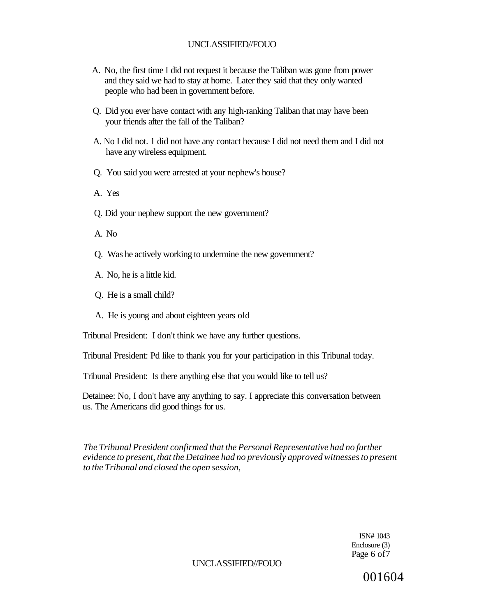- A. No, the first time I did not request it because the Taliban was gone from power and they said we had to stay at home. Later they said that they only wanted people who had been in government before.
- Q. Did you ever have contact with any high-ranking Taliban that may have been your friends after the fall of the Taliban?
- A. No I did not. 1 did not have any contact because I did not need them and I did not have any wireless equipment.
- Q. You said you were arrested at your nephew's house?
- A. Yes
- Q. Did your nephew support the new government?
- A. No
- Q. Was he actively working to undermine the new government?
- A. No, he is a little kid.
- Q. He is a small child?
- A. He is young and about eighteen years old

Tribunal President: I don't think we have any further questions.

Tribunal President: Pd like to thank you for your participation in this Tribunal today.

Tribunal President: Is there anything else that you would like to tell us?

Detainee: No, I don't have any anything to say. I appreciate this conversation between us. The Americans did good things for us.

*The Tribunal President confirmed that the Personal Representative had no further evidence to present, that the Detainee had no previously approved witnesses to present to the Tribunal and closed the open session,* 

> ISN# 1043 Enclosure (3) Page 6 of 7

#### UNCLASSIFIED//FOUO